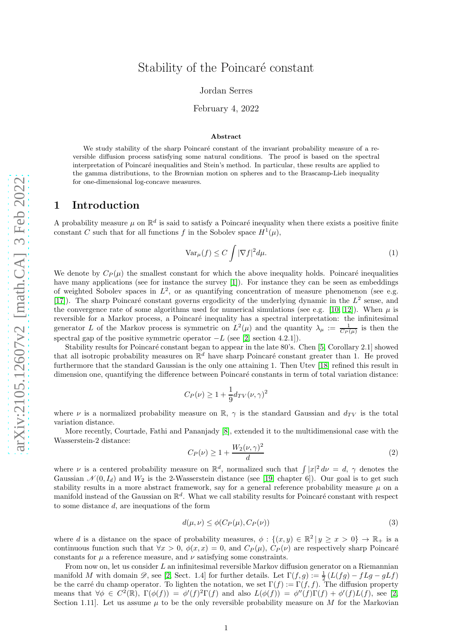# Stability of the Poincaré constant

Jordan Serres

### February 4, 2022

#### Abstract

We study stability of the sharp Poincaré constant of the invariant probability measure of a reversible diffusion process satisfying some natural conditions. The proof is based on the spectral interpretation of Poincaré inequalities and Stein's method. In particular, these results are applied to the gamma distributions, to the Brownian motion on spheres and to the Brascamp-Lieb inequality for one-dimensional log-concave measures.

# 1 Introduction

A probability measure  $\mu$  on  $\mathbb{R}^d$  is said to satisfy a Poincaré inequality when there exists a positive finite constant C such that for all functions f in the Sobolev space  $H^1(\mu)$ ,

$$
\text{Var}_{\mu}(f) \le C \int |\nabla f|^2 d\mu. \tag{1}
$$

We denote by  $C_P(\mu)$  the smallest constant for which the above inequality holds. Poincaré inequalities have many applications (see for instance the survey [\[1\]](#page-17-0)). For instance they can be seen as embeddings of weighted Sobolev spaces in  $L^2$ , or as quantifying concentration of measure phenomenon (see e.g. [\[17\]](#page-17-1)). The sharp Poincaré constant governs ergodicity of the underlying dynamic in the  $L^2$  sense, and the convergence rate of some algorithms used for numerical simulations (see e.g. [\[10,](#page-17-2) [12\]](#page-17-3)). When  $\mu$  is reversible for a Markov process, a Poincaré inequality has a spectral interpretation: the infinitesimal generator L of the Markov process is symmetric on  $L^2(\mu)$  and the quantity  $\lambda_{\mu} := \frac{1}{C_P(\mu)}$  is then the spectral gap of the positive symmetric operator  $-L$  (see [\[2,](#page-17-4) section 4.2.1]).

Stability results for Poincaré constant began to appear in the late 80's. Chen [\[5,](#page-17-5) Corollary 2.1] showed that all isotropic probability measures on  $\mathbb{R}^d$  have sharp Poincaré constant greater than 1. He proved furthermore that the standard Gaussian is the only one attaining 1. Then Utev [\[18\]](#page-17-6) refined this result in dimension one, quantifying the difference between Poincaré constants in term of total variation distance:

$$
C_P(\nu) \ge 1 + \frac{1}{9} d_{TV}(\nu, \gamma)^2
$$

where  $\nu$  is a normalized probability measure on  $\mathbb{R}$ ,  $\gamma$  is the standard Gaussian and  $d_{TV}$  is the total variation distance.

More recently, Courtade, Fathi and Pananjady [\[8\]](#page-17-7), extended it to the multidimensional case with the Wasserstein-2 distance:

<span id="page-0-0"></span>
$$
C_P(\nu) \ge 1 + \frac{W_2(\nu, \gamma)^2}{d} \tag{2}
$$

where  $\nu$  is a centered probability measure on  $\mathbb{R}^d$ , normalized such that  $\int |x|^2 d\nu = d$ ,  $\gamma$  denotes the Gaussian  $\mathcal{N}(0, I_d)$  and  $W_2$  is the 2-Wasserstein distance (see [\[19,](#page-17-8) chapter 6]). Our goal is to get such stability results in a more abstract framework, say for a general reference probability measure  $\mu$  on a manifold instead of the Gaussian on  $\mathbb{R}^d$ . What we call stability results for Poincaré constant with respect to some distance d, are inequations of the form

<span id="page-0-1"></span>
$$
d(\mu, \nu) \le \phi(C_P(\mu), C_P(\nu))
$$
\n(3)

where d is a distance on the space of probability measures,  $\phi: \{(x, y) \in \mathbb{R}^2 | y \ge x > 0\} \to \mathbb{R}_+$  is a continuous function such that  $\forall x > 0$ ,  $\phi(x, x) = 0$ , and  $C_P(\mu)$ ,  $C_P(\nu)$  are respectively sharp Poincaré constants for  $\mu$  a reference measure, and  $\nu$  satisfying some constraints.

From now on, let us consider  $L$  an infinitesimal reversible Markov diffusion generator on a Riemannian manifold M with domain  $\mathscr{D}$ , see [\[2,](#page-17-4) Sect. 1.4] for further details. Let  $\Gamma(f,g) := \frac{1}{2} (L(fg) - fLg - gLf)$ be the carré du champ operator. To lighten the notation, we set  $\Gamma(f) := \Gamma(f, f)$ . The diffusion property means that  $\forall \phi \in C^2(\mathbb{R})$ ,  $\Gamma(\phi(f)) = \phi'(f)^2 \Gamma(f)$  and also  $L(\phi(f)) = \phi''(f) \Gamma(f) + \phi'(f) L(f)$ , see [\[2,](#page-17-4) Section 1.11. Let us assume  $\mu$  to be the only reversible probability measure on M for the Markovian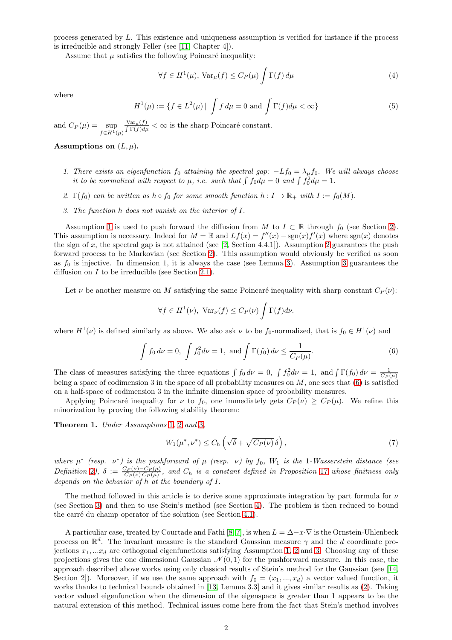process generated by L. This existence and uniqueness assumption is verified for instance if the process is irreducible and strongly Feller (see [\[11,](#page-17-9) Chapter 4]).

Assume that  $\mu$  satisfies the following Poincaré inequality:

$$
\forall f \in H^{1}(\mu), \operatorname{Var}_{\mu}(f) \le C_{P}(\mu) \int \Gamma(f) d\mu \tag{4}
$$

where

<span id="page-1-6"></span>
$$
H^{1}(\mu) := \{ f \in L^{2}(\mu) \mid \int f d\mu = 0 \text{ and } \int \Gamma(f) d\mu < \infty \}
$$
 (5)

and  $C_P(\mu) = \text{sup}$  $f\in H^1(\mu)$  $Var_{\mu}(f)$  $\frac{\text{Var}_{\mu}(f)}{\int \Gamma(f) d\mu} < \infty$  is the sharp Poincaré constant.

<span id="page-1-0"></span>Assumptions on  $(L, \mu)$ .

- 1. There exists an eigenfunction  $f_0$  attaining the spectral gap:  $-Lf_0 = \lambda_\mu f_0$ . We will always choose it to be normalized with respect to  $\mu$ , i.e. such that  $\int f_0 d\mu = 0$  and  $\int f_0^2 d\mu = 1$ .
- <span id="page-1-2"></span><span id="page-1-1"></span>2.  $\Gamma(f_0)$  can be written as  $h \circ f_0$  for some smooth function  $h: I \to \mathbb{R}_+$  with  $I := f_0(M)$ .
- 3. The function h does not vanish on the interior of I.

Assumption [1](#page-1-0) is used to push forward the diffusion from M to  $I \subset \mathbb{R}$  through  $f_0$  (see Section [2\)](#page-2-0). This assumption is necessary. Indeed for  $M = \mathbb{R}$  and  $Lf(x) = f''(x) - \text{sgn}(x)f'(x)$  where  $\text{sgn}(x)$  denotes the sign of x, the spectral gap is not attained (see  $[2, Section 4.4.1]$ ). Assumption [2](#page-1-1) guarantees the push forward process to be Markovian (see Section [2\)](#page-2-0). This assumption would obviously be verified as soon as  $f_0$  is injective. In dimension 1, it is always the case (see Lemma [3\)](#page-3-0). Assumption [3](#page-1-2) guarantees the diffusion on  $I$  to be irreducible (see Section [2](#page-3-1).1).

Let  $\nu$  be another measure on M satisfying the same Poincaré inequality with sharp constant  $C_P(\nu)$ :

$$
\forall f \in H^{1}(\nu), \ \text{Var}_{\nu}(f) \leq C_{P}(\nu) \int \Gamma(f) d\nu.
$$

where  $H^1(\nu)$  is defined similarly as above. We also ask  $\nu$  to be  $f_0$ -normalized, that is  $f_0 \in H^1(\nu)$  and

<span id="page-1-3"></span>
$$
\int f_0 \, d\nu = 0, \int f_0^2 \, d\nu = 1, \text{ and } \int \Gamma(f_0) \, d\nu \le \frac{1}{C_P(\mu)}.
$$
\n(6)

The class of measures satisfying the three equations  $\int f_0 d\nu = 0$ ,  $\int f_0^2 d\nu = 1$ , and  $\int \Gamma(f_0) d\nu = \frac{1}{C_P(\mu)}$ being a space of codimension 3 in the space of all probability measures on  $M$ , one sees that [\(6\)](#page-1-3) is satisfied on a half-space of codimension 3 in the infinite dimension space of probability measures.

Applying Poincaré inequality for  $\nu$  to  $f_0$ , one immediately gets  $C_P(\nu) \geq C_P(\mu)$ . We refine this minorization by proving the following stability theorem:

<span id="page-1-4"></span>Theorem [1](#page-1-0). Under Assumptions 1, [2](#page-1-1) and [3](#page-1-2).

<span id="page-1-5"></span>
$$
W_1(\mu^*, \nu^*) \le C_h \left( \sqrt{\delta} + \sqrt{C_P(\nu)} \, \delta \right),\tag{7}
$$

where  $\mu^*$  (resp.  $\nu^*$ ) is the pushforward of  $\mu$  (resp.  $\nu$ ) by  $f_0$ ,  $W_1$  is the 1-Wasserstein distance (see Definition [2](#page-9-0)),  $\delta := \frac{C_P(\nu) - C_P(\mu)}{C_P(\nu) C_P(\mu)}$ , and  $C_h$  is a constant defined in Proposition [17](#page-10-0) whose finitness only depends on the behavior of h at the boundary of I.

The method followed in this article is to derive some approximate integration by part formula for  $\nu$ (see Section [3\)](#page-5-0) and then to use Stein's method (see Section [4\)](#page-6-0). The problem is then reduced to bound the carré du champ operator of the solution (see Section [4](#page-7-0).1).

A particuliar case, treated by Courtade and Fathi [\[8,](#page-17-7) [7\]](#page-17-10), is when  $L = \Delta - x \cdot \nabla$  is the Ornstein-Uhlenbeck process on  $\mathbb{R}^d$ . The invariant measure is the standard Gaussian measure  $\gamma$  and the d coordinate projections  $x_1, \ldots, x_d$  are orthogonal eigenfunctions satisfying Assumption [1,](#page-1-0) [2](#page-1-1) and [3.](#page-1-2) Choosing any of these projections gives the one dimensional Gaussian  $\mathcal{N}(0,1)$  for the pushforward measure. In this case, the approach described above works using only classical results of Stein's method for the Gaussian (see [\[14,](#page-17-11) Section 2. Moreover, if we use the same approach with  $f_0 = (x_1, ..., x_d)$  a vector valued function, it works thanks to technical bounds obtained in [\[13,](#page-17-12) Lemma 3.3] and it gives similar results as [\(2\)](#page-0-0). Taking vector valued eigenfunction when the dimension of the eigenspace is greater than 1 appears to be the natural extension of this method. Technical issues come here from the fact that Stein's method involves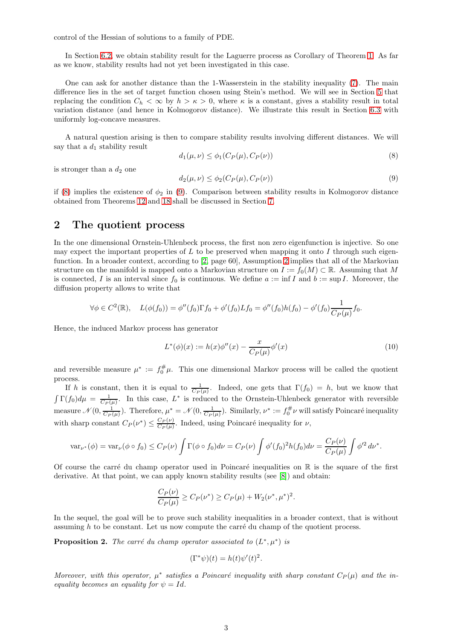control of the Hessian of solutions to a family of PDE.

In Section [6](#page-13-0).2, we obtain stability result for the Laguerre process as Corollary of Theorem [1.](#page-1-4) As far as we know, stability results had not yet been investigated in this case.

One can ask for another distance than the 1-Wasserstein in the stability inequality [\(7\)](#page-1-5). The main difference lies in the set of target function chosen using Stein's method. We will see in Section [5](#page-8-0) that replacing the condition  $C_h < \infty$  by  $h > \kappa > 0$ , where  $\kappa$  is a constant, gives a stability result in total variation distance (and hence in Kolmogorov distance). We illustrate this result in Section [6](#page-14-0).3 with uniformly log-concave measures.

A natural question arising is then to compare stability results involving different distances. We will say that a  $d_1$  stability result

<span id="page-2-1"></span>
$$
d_1(\mu, \nu) \le \phi_1(C_P(\mu), C_P(\nu))
$$
\n<sup>(8)</sup>

is stronger than a  $d_2$  one

<span id="page-2-2"></span>
$$
d_2(\mu, \nu) \le \phi_2(C_P(\mu), C_P(\nu))
$$
\n(9)

if [\(8\)](#page-2-1) implies the existence of  $\phi_2$  in [\(9\)](#page-2-2). Comparison between stability results in Kolmogorov distance obtained from Theorems [12](#page-8-1) and [18](#page-10-1) shall be discussed in Section [7.](#page-15-0)

# <span id="page-2-0"></span>2 The quotient process

In the one dimensional Ornstein-Uhlenbeck process, the first non zero eigenfunction is injective. So one may expect the important properties of L to be preserved when mapping it onto I through such eigenfunction. In a broader context, according to [\[2,](#page-17-4) page 60], Assumption [2](#page-1-1) implies that all of the Markovian structure on the manifold is mapped onto a Markovian structure on  $I := f_0(M) \subset \mathbb{R}$ . Assuming that M is connected, I is an interval since  $f_0$  is continuous. We define  $a := \inf I$  and  $b := \sup I$ . Moreover, the diffusion property allows to write that

$$
\forall \phi \in C^2(\mathbb{R}), \quad L(\phi(f_0)) = \phi''(f_0)\Gamma f_0 + \phi'(f_0)Lf_0 = \phi''(f_0)h(f_0) - \phi'(f_0)\frac{1}{C_P(\mu)}f_0.
$$

Hence, the induced Markov process has generator

$$
L^*(\phi)(x) := h(x)\phi''(x) - \frac{x}{C_P(\mu)}\phi'(x)
$$
\n(10)

and reversible measure  $\mu^* := f_0^{\#} \mu$ . This one dimensional Markov process will be called the quotient process.

If h is constant, then it is equal to  $\frac{1}{C_P(\mu)}$ . Indeed, one gets that  $\Gamma(f_0) = h$ , but we know that  $\int \Gamma(f_0) d\mu = \frac{1}{C_P(\mu)}$ . In this case,  $L^*$  is reduced to the Ornstein-Uhlenbeck generator with reversible measure  $\mathcal{N}(0, \frac{1}{C_P(\mu)})$ . Therefore,  $\mu^* = \mathcal{N}(0, \frac{1}{C_P(\mu)})$ . Similarly,  $\nu^* := f_0^{\#} \nu$  will satisfy Poincaré inequality with sharp constant  $C_P(\nu^*) \leq \frac{C_P(\nu)}{C_P(\mu)}$  $\frac{C_P(\nu)}{C_P(\mu)}$ . Indeed, using Poincaré inequality for  $\nu$ ,

$$
\text{var}_{\nu^*}(\phi) = \text{var}_{\nu}(\phi \circ f_0) \le C_P(\nu) \int \Gamma(\phi \circ f_0) d\nu = C_P(\nu) \int \phi'(f_0)^2 h(f_0) d\nu = \frac{C_P(\nu)}{C_P(\mu)} \int \phi'^2 d\nu^*.
$$

Of course the carré du champ operator used in Poincaré inequalities on  $\mathbb R$  is the square of the first derivative. At that point, we can apply known stability results (see [\[8\]](#page-17-7)) and obtain:

$$
\frac{C_P(\nu)}{C_P(\mu)} \ge C_P(\nu^*) \ge C_P(\mu) + W_2(\nu^*, \mu^*)^2.
$$

In the sequel, the goal will be to prove such stability inequalities in a broader context, that is without assuming  $h$  to be constant. Let us now compute the carré du champ of the quotient process.

**Proposition 2.** The carré du champ operator associated to  $(L^*, \mu^*)$  is

$$
(\Gamma^*\psi)(t) = h(t)\psi'(t)^2.
$$

Moreover, with this operator,  $\mu^*$  satisfies a Poincaré inequality with sharp constant  $C_P(\mu)$  and the inequality becomes an equality for  $\psi = Id$ .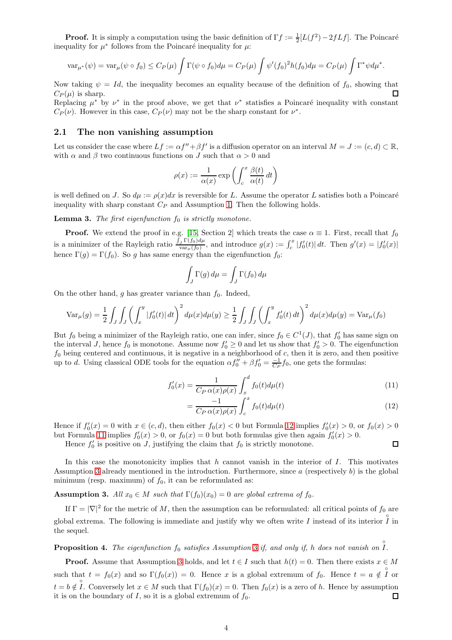**Proof.** It is simply a computation using the basic definition of  $\Gamma f := \frac{1}{2}[L(f^2) - 2fLf]$ . The Poincaré inequality for  $\mu^*$  follows from the Poincaré inequality for  $\mu$ :

$$
\text{var}_{\mu^*}(\psi) = \text{var}_{\mu}(\psi \circ f_0) \le C_P(\mu) \int \Gamma(\psi \circ f_0) d\mu = C_P(\mu) \int \psi'(f_0)^2 h(f_0) d\mu = C_P(\mu) \int \Gamma^* \psi d\mu^*.
$$

Now taking  $\psi = Id$ , the inequality becomes an equality because of the definition of  $f_0$ , showing that  $C_P(\mu)$  is sharp.

Replacing  $\mu^*$  by  $\nu^*$  in the proof above, we get that  $\nu^*$  statisfies a Poincaré inequality with constant  $C_P(\nu)$ . However in this case,  $C_P(\nu)$  may not be the sharp constant for  $\nu^*$ .

### <span id="page-3-1"></span>2.1 The non vanishing assumption

Let us consider the case where  $Lf := \alpha f'' + \beta f'$  is a diffusion operator on an interval  $M = J := (c, d) \subset \mathbb{R}$ , with  $\alpha$  and  $\beta$  two continuous functions on J such that  $\alpha > 0$  and

$$
\rho(x) := \frac{1}{\alpha(x)} \exp\left(\int_c^x \frac{\beta(t)}{\alpha(t)} dt\right)
$$

is well defined on J. So  $d\mu := \rho(x)dx$  is reversible for L. Assume the operator L satisfies both a Poincaré inequality with sharp constant  $C_P$  and Assumption [1.](#page-1-0) Then the following holds.

<span id="page-3-0"></span>**Lemma 3.** The first eigenfunction  $f_0$  is strictly monotone.

**Proof.** We extend the proof in e.g. [\[15,](#page-17-13) Section 2] which treats the case  $\alpha \equiv 1$ . First, recall that  $f_0$ is a minimizer of the Rayleigh ratio  $\frac{\int_J \Gamma(f_0) d\mu}{\text{var}_\mu(f_0)}$  $\frac{f_y \Gamma(f_0) d\mu}{\text{var}_{\mu}(f_0)},$  and introduce  $g(x) := \int_c^x |f'_0(t)| dt$ . Then  $g'(x) = |f'_0(x)|$ hence  $\Gamma(g) = \Gamma(f_0)$ . So g has same energy than the eigenfunction  $f_0$ :

$$
\int_J \Gamma(g) \, d\mu = \int_J \Gamma(f_0) \, d\mu
$$

On the other hand, g has greater variance than  $f_0$ . Indeed,

$$
\text{Var}_{\mu}(g) = \frac{1}{2} \int_{J} \int_{J} \left( \int_{x}^{y} |f_{0}'(t)| dt \right)^{2} d\mu(x) d\mu(y) \ge \frac{1}{2} \int_{J} \int_{J} \left( \int_{x}^{y} f_{0}'(t) dt \right)^{2} d\mu(x) d\mu(y) = \text{Var}_{\mu}(f_{0})
$$

But  $f_0$  being a minimizer of the Rayleigh ratio, one can infer, since  $f_0 \in C^1(J)$ , that  $f'_0$  has same sign on the interval J, hence  $f_0$  is monotone. Assume now  $f'_0 \ge 0$  and let us show that  $f'_0 > 0$ . The eigenfunction  $f_0$  being centered and continuous, it is negative in a neighborhood of c, then it is zero, and then positive up to d. Using classical ODE tools for the equation  $\alpha f''_0 + \beta f'_0 = \frac{-1}{C_P} f_0$ , one gets the formulas:

$$
f_0'(x) = \frac{1}{C_P \alpha(x)\rho(x)} \int_x^d f_0(t) d\mu(t)
$$
\n(11)

$$
=\frac{-1}{C_P\,\alpha(x)\rho(x)}\int_c^x f_0(t)d\mu(t)\tag{12}
$$

<span id="page-3-3"></span><span id="page-3-2"></span> $\Box$ 

Hence if  $f'_0(x) = 0$  with  $x \in (c, d)$ , then either  $f_0(x) < 0$  but Formula [12](#page-3-2) implies  $f'_0(x) > 0$ , or  $f_0(x) > 0$ but Formula [11](#page-3-3) implies  $f'_0(x) > 0$ , or  $f_0(x) = 0$  but both formulas give then again  $f'_0(x) > 0$ .

Hence  $f_0'$  is positive on J, justifying the claim that  $f_0$  is strictly monotone.

In this case the monotonicity implies that h cannot vanish in the interior of  $I$ . This motivates Assumption [3](#page-1-2) already mentioned in the introduction. Furthermore, since  $a$  (respectively  $b$ ) is the global minimum (resp. maximum) of  $f_0$ , it can be reformulated as:

**Assumption 3.** All  $x_0 \in M$  such that  $\Gamma(f_0)(x_0) = 0$  are global extrema of  $f_0$ .

If  $\Gamma = |\nabla|^2$  for the metric of M, then the assumption can be reformulated: all critical points of  $f_0$  are global extrema. The following is immediate and justify why we often write I instead of its interior  $\hat{I}$  in the sequel.

**Proposition 4.** The eigenfunction  $f_0$  satisfies Assumption [3](#page-1-2) if, and only if, h does not vanish on  $\Gamma$ .

**Proof.** Assume that Assumption [3](#page-1-2) holds, and let  $t \in I$  such that  $h(t) = 0$ . Then there exists  $x \in M$ such that  $t = f_0(x)$  and so  $\Gamma(f_0(x)) = 0$ . Hence x is a global extremum of  $f_0$ . Hence  $t = a \notin \mathring{I}$  or  $t = b \notin I$ . Conversely let  $x \in M$  such that  $\Gamma(f_0)(x) = 0$ . Then  $f_0(x)$  is a zero of h. Hence by assumption it is on the boundary of I, so it is a global extremum of  $f_0$ .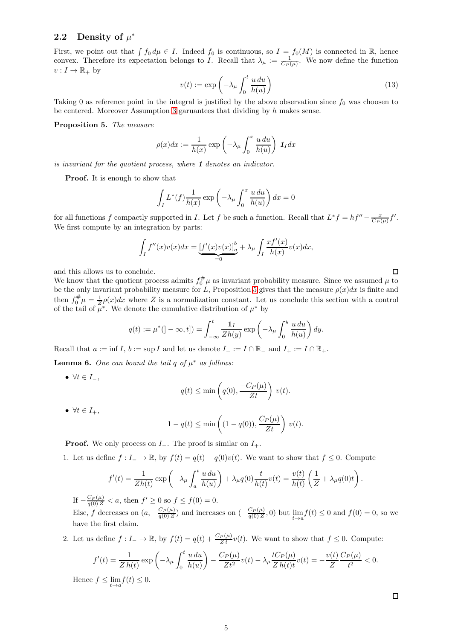# 2.2 Density of  $\mu^*$

First, we point out that  $\int f_0 d\mu \in I$ . Indeed  $f_0$  is continuous, so  $I = f_0(M)$  is connected in R, hence convex. Therefore its expectation belongs to I. Recall that  $\lambda_{\mu} := \frac{1}{C_P(\mu)}$ . We now define the function  $v: I \to \mathbb{R}_+$  by

<span id="page-4-2"></span>
$$
v(t) := \exp\left(-\lambda_{\mu} \int_{0}^{t} \frac{u \, du}{h(u)}\right) \tag{13}
$$

Taking 0 as reference point in the integral is justified by the above observation since  $f_0$  was choosen to be centered. Moreover Assumption [3](#page-1-2) garuantees that dividing by h makes sense.

<span id="page-4-0"></span>Proposition 5. The measure

$$
\rho(x)dx := \frac{1}{h(x)} \exp\left(-\lambda_{\mu} \int_0^x \frac{u \, du}{h(u)}\right) \, 1_I dx
$$

is invariant for the quotient process, where 1 denotes an indicator.

Proof. It is enough to show that

$$
\int_I L^*(f) \frac{1}{h(x)} \exp\left(-\lambda_\mu \int_0^x \frac{u \, du}{h(u)}\right) dx = 0
$$

for all functions f compactly supported in I. Let f be such a function. Recall that  $L^* f = hf'' - \frac{x}{C_P(\mu)}f'$ . We first compute by an integration by parts:

$$
\int_I f''(x)v(x)dx = \underbrace{\left[f'(x)v(x)\right]_a^b}_{=0} + \lambda_\mu \int_I \frac{x f'(x)}{h(x)} v(x) dx,
$$

and this allows us to conclude.

We know that the quotient process admits  $f_0^{\#} \mu$  as invariant probability measure. Since we assumed  $\mu$  to be the only invariant probability measure for L, Proposition [5](#page-4-0) gives that the measure  $\rho(x)dx$  is finite and then  $f_0^{\#}\mu = \frac{1}{Z}\rho(x)dx$  where Z is a normalization constant. Let us conclude this section with a control of the tail of  $\mu^*$ . We denote the cumulative distribution of  $\mu^*$  by

$$
q(t) := \mu^* (]-\infty, t]) = \int_{-\infty}^t \frac{\mathbf{1}_I}{Zh(y)} \exp\left(-\lambda_\mu \int_0^y \frac{u \, du}{h(u)}\right) dy.
$$

Recall that  $a := \inf I, b := \sup I$  and let us denote  $I_- := I \cap \mathbb{R}_-$  and  $I_+ := I \cap \mathbb{R}_+$ .

<span id="page-4-1"></span>**Lemma 6.** One can bound the tail  $q$  of  $\mu^*$  as follows:

•  $\forall t \in I_-,$ 

$$
q(t) \le \min\left(q(0), \frac{-C_P(\mu)}{Zt}\right) v(t).
$$

•  $\forall t \in I_+,$ 

$$
1 - q(t) \le \min\left( (1 - q(0)), \frac{C_P(\mu)}{Zt} \right) v(t).
$$

**Proof.** We only process on  $I_$ . The proof is similar on  $I_+$ .

1. Let us define  $f: I_- \to \mathbb{R}$ , by  $f(t) = q(t) - q(0)v(t)$ . We want to show that  $f \leq 0$ . Compute

$$
f'(t) = \frac{1}{Zh(t)} \exp\left(-\lambda_{\mu} \int_{a}^{t} \frac{u du}{h(u)}\right) + \lambda_{\mu} q(0) \frac{t}{h(t)} v(t) = \frac{v(t)}{h(t)} \left(\frac{1}{Z} + \lambda_{\mu} q(0)t\right)
$$

If  $-\frac{C_P(\mu)}{q(0)Z} < a$ , then  $f' \ge 0$  so  $f \le f(0) = 0$ .

Else, f decreases on  $(a, -\frac{C_P(\mu)}{q(0)Z})$  and increases on  $(-\frac{C_P(\mu)}{q(0)Z}, 0)$  but  $\lim_{t \to a} f(t) \le 0$  and  $f(0) = 0$ , so we have the first claim.

2. Let us define  $f: I_- \to \mathbb{R}$ , by  $f(t) = q(t) + \frac{C_P(\mu)}{Zt}v(t)$ . We want to show that  $f \leq 0$ . Compute:

$$
f'(t) = \frac{1}{Z h(t)} \exp\left(-\lambda_{\mu} \int_0^t \frac{u \, du}{h(u)}\right) - \frac{C_P(\mu)}{Z t^2} v(t) - \lambda_{\mu} \frac{t C_P(\mu)}{Z h(t) t} v(t) = -\frac{v(t)}{Z} \frac{C_P(\mu)}{t^2} < 0.
$$

Hence  $f \le \lim_{t \to a} f(t) \le 0$ .

 $\Box$ 

 $\Box$ 

.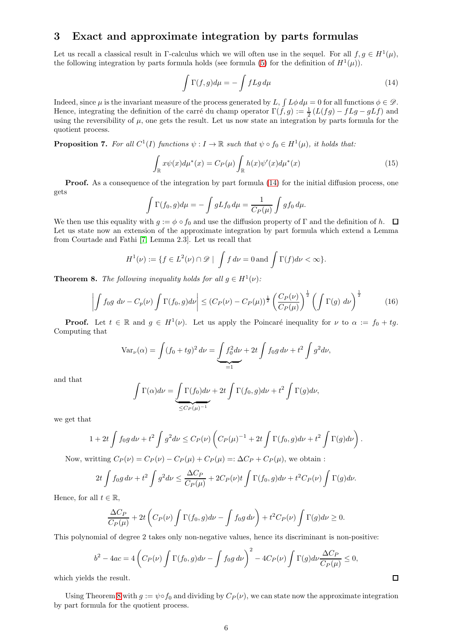# <span id="page-5-0"></span>3 Exact and approximate integration by parts formulas

Let us recall a classical result in Γ-calculus which we will often use in the sequel. For all  $f, g \in H^1(\mu)$ , the following integration by parts formula holds (see formula [\(5\)](#page-1-6) for the definition of  $H^1(\mu)$ ).

<span id="page-5-1"></span>
$$
\int \Gamma(f,g)d\mu = -\int fLg\,d\mu\tag{14}
$$

Indeed, since  $\mu$  is the invariant measure of the process generated by L,  $\int L\phi d\mu = 0$  for all functions  $\phi \in \mathscr{D}$ . Hence, integrating the definition of the carré du champ operator  $\Gamma(f, g) := \frac{1}{2} (L(fg) - fLg - gLf)$  and using the reversibility of  $\mu$ , one gets the result. Let us now state an integration by parts formula for the quotient process.

**Proposition 7.** For all  $C^1(I)$  functions  $\psi: I \to \mathbb{R}$  such that  $\psi \circ f_0 \in H^1(\mu)$ , it holds that:

<span id="page-5-3"></span>
$$
\int_{\mathbb{R}} x\psi(x)d\mu^*(x) = C_P(\mu) \int_{\mathbb{R}} h(x)\psi'(x)d\mu^*(x)
$$
\n(15)

**Proof.** As a consequence of the integration by part formula [\(14\)](#page-5-1) for the initial diffusion process, one gets

$$
\int \Gamma(f_0, g)d\mu = -\int gLf_0 d\mu = \frac{1}{C_P(\mu)} \int g f_0 d\mu.
$$

We then use this equality with  $g := \phi \circ f_0$  and use the diffusion property of Γ and the definition of h.  $\Box$ Let us state now an extension of the approximate integration by part formula which extend a Lemma from Courtade and Fathi [\[7,](#page-17-10) Lemma 2.3]. Let us recall that

$$
H^{1}(\nu) := \{ f \in L^{2}(\nu) \cap \mathscr{D} \mid \int f d\nu = 0 \text{ and } \int \Gamma(f) d\nu < \infty \}.
$$

<span id="page-5-2"></span>**Theorem 8.** The following inequality holds for all  $g \in H^1(\nu)$ :

$$
\left| \int f_0 g \, d\nu - C_p(\nu) \int \Gamma(f_0, g) d\nu \right| \le \left( C_P(\nu) - C_P(\mu) \right)^{\frac{1}{2}} \left( \frac{C_P(\nu)}{C_P(\mu)} \right)^{\frac{1}{2}} \left( \int \Gamma(g) \, d\nu \right)^{\frac{1}{2}} \tag{16}
$$

**Proof.** Let  $t \in \mathbb{R}$  and  $g \in H^1(\nu)$ . Let us apply the Poincaré inequality for  $\nu$  to  $\alpha := f_0 + tg$ . Computing that

$$
\text{Var}_{\nu}(\alpha) = \int (f_0 + tg)^2 \, d\nu = \underbrace{\int f_0^2 \, d\nu}_{=1} + 2t \int f_0 g \, d\nu + t^2 \int g^2 \, d\nu,
$$

and that

$$
\int \Gamma(\alpha)d\nu = \underbrace{\int \Gamma(f_0)d\nu}_{\leq C_P(\mu)^{-1}} + 2t \int \Gamma(f_0,g)d\nu + t^2 \int \Gamma(g)d\nu,
$$

we get that

$$
1+2t\int f_0g\,d\nu+t^2\int g^2d\nu\leq C_P(\nu)\left(C_P(\mu)^{-1}+2t\int \Gamma(f_0,g)d\nu+t^2\int \Gamma(g)d\nu\right).
$$

Now, writting  $C_P(\nu) = C_P(\nu) - C_P(\mu) + C_P(\mu) =: \Delta C_P + C_P(\mu)$ , we obtain :

$$
2t \int f_0 g \, d\nu + t^2 \int g^2 d\nu \le \frac{\Delta C_P}{C_P(\mu)} + 2C_P(\nu)t \int \Gamma(f_0, g) d\nu + t^2 C_P(\nu) \int \Gamma(g) d\nu.
$$

Hence, for all  $t \in \mathbb{R}$ ,

$$
\frac{\Delta C_P}{C_P(\mu)} + 2t \left( C_P(\nu) \int \Gamma(f_0, g) d\nu - \int f_0 g d\nu \right) + t^2 C_P(\nu) \int \Gamma(g) d\nu \ge 0.
$$

This polynomial of degree 2 takes only non-negative values, hence its discriminant is non-positive:

$$
b^2 - 4ac = 4\left(C_P(\nu)\int \Gamma(f_0, g)d\nu - \int f_0g d\nu\right)^2 - 4C_P(\nu)\int \Gamma(g)d\nu\frac{\Delta C_P}{C_P(\mu)} \le 0,
$$

 $\Box$ 

which yields the result.

Using Theorem [8](#page-5-2) with  $g := \psi \circ f_0$  and dividing by  $C_P(\nu)$ , we can state now the approximate integration by part formula for the quotient process.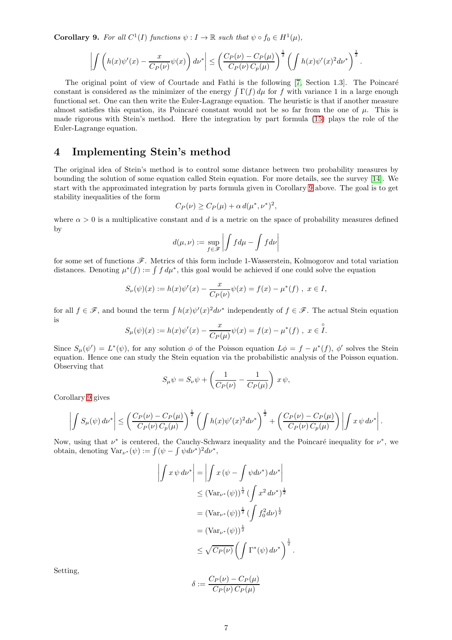<span id="page-6-1"></span>**Corollary 9.** For all  $C^1(I)$  functions  $\psi: I \to \mathbb{R}$  such that  $\psi \circ f_0 \in H^1(\mu)$ ,

$$
\left| \int \left( h(x)\psi'(x) - \frac{x}{C_P(\nu)}\psi(x) \right) d\nu^* \right| \leq \left( \frac{C_P(\nu) - C_P(\mu)}{C_P(\nu) C_P(\mu)} \right)^{\frac{1}{2}} \left( \int h(x)\psi'(x)^2 d\nu^* \right)^{\frac{1}{2}}.
$$

The original point of view of Courtade and Fathi is the following [\[7,](#page-17-10) Section 1.3]. The Poincaré constant is considered as the minimizer of the energy  $\int \Gamma(f) d\mu$  for f with variance 1 in a large enough functional set. One can then write the Euler-Lagrange equation. The heuristic is that if another measure almost satisfies this equation, its Poincaré constant would not be so far from the one of  $\mu$ . This is made rigorous with Stein's method. Here the integration by part formula [\(15\)](#page-5-3) plays the role of the Euler-Lagrange equation.

# <span id="page-6-0"></span>4 Implementing Stein's method

The original idea of Stein's method is to control some distance between two probability measures by bounding the solution of some equation called Stein equation. For more details, see the survey [\[14\]](#page-17-11). We start with the approximated integration by parts formula given in Corollary [9](#page-6-1) above. The goal is to get stability inequalities of the form

$$
C_P(\nu) \ge C_P(\mu) + \alpha d(\mu^*, \nu^*)^2,
$$

where  $\alpha > 0$  is a multiplicative constant and d is a metric on the space of probability measures defined by

$$
d(\mu, \nu) := \sup_{f \in \mathscr{F}} \left| \int f d\mu - \int f d\nu \right|
$$

for some set of functions  $\mathscr F$ . Metrics of this form include 1-Wasserstein, Kolmogorov and total variation distances. Denoting  $\mu^*(f) := \int f d\mu^*$ , this goal would be achieved if one could solve the equation

$$
S_{\nu}(\psi)(x) := h(x)\psi'(x) - \frac{x}{C_P(\nu)}\psi(x) = f(x) - \mu^*(f) , \ x \in I,
$$

for all  $f \in \mathscr{F}$ , and bound the term  $\int h(x)\psi'(x)^2 d\nu^*$  independently of  $f \in \mathscr{F}$ . The actual Stein equation is

$$
S_{\mu}(\psi)(x) := h(x)\psi'(x) - \frac{x}{C_P(\mu)}\psi(x) = f(x) - \mu^*(f) , x \in \overset{\circ}{I}.
$$

Since  $S_{\mu}(\psi') = L^*(\psi)$ , for any solution  $\phi$  of the Poisson equation  $L\phi = f - \mu^*(f)$ ,  $\phi'$  solves the Stein equation. Hence one can study the Stein equation via the probabilistic analysis of the Poisson equation. Observing that

$$
S_{\mu}\psi = S_{\nu}\psi + \left(\frac{1}{C_P(\nu)} - \frac{1}{C_P(\mu)}\right) x \psi,
$$

Corollary [9](#page-6-1) gives

$$
\left| \int S_{\mu}(\psi) d\nu^* \right| \leq \left( \frac{C_P(\nu) - C_P(\mu)}{C_P(\nu) C_p(\mu)} \right)^{\frac{1}{2}} \left( \int h(x) \psi'(x)^2 d\nu^* \right)^{\frac{1}{2}} + \left( \frac{C_P(\nu) - C_P(\mu)}{C_P(\nu) C_p(\mu)} \right) \left| \int x \psi d\nu^* \right|.
$$

Now, using that  $\nu^*$  is centered, the Cauchy-Schwarz inequality and the Poincaré inequality for  $\nu^*$ , we obtain, denoting  $\text{Var}_{\nu^*}(\psi) := \int (\psi - \int \psi d\nu^*)^2 d\nu^*,$ 

> $\overline{\phantom{a}}$  $\overline{\phantom{a}}$ I  $\overline{\phantom{a}}$

$$
\int x \psi \, d\nu^* \Big| = \Big| \int x \left( \psi - \int \psi \, d\nu^* \right) \, d\nu^* \Big|
$$
  
\n
$$
\leq (\text{Var}_{\nu^*}(\psi))^{\frac{1}{2}} \left( \int x^2 \, d\nu^* \right)^{\frac{1}{2}}
$$
  
\n
$$
= (\text{Var}_{\nu^*}(\psi))^{\frac{1}{2}} \left( \int f_0^2 \, d\nu \right)^{\frac{1}{2}}
$$
  
\n
$$
\leq (\text{Var}_{\nu^*}(\psi))^{\frac{1}{2}}
$$
  
\n
$$
\leq \sqrt{C_P(\nu)} \left( \int \Gamma^*(\psi) \, d\nu^* \right)^{\frac{1}{2}}
$$

.

Setting,

$$
\delta := \frac{C_P(\nu) - C_P(\mu)}{C_P(\nu) C_P(\mu)}
$$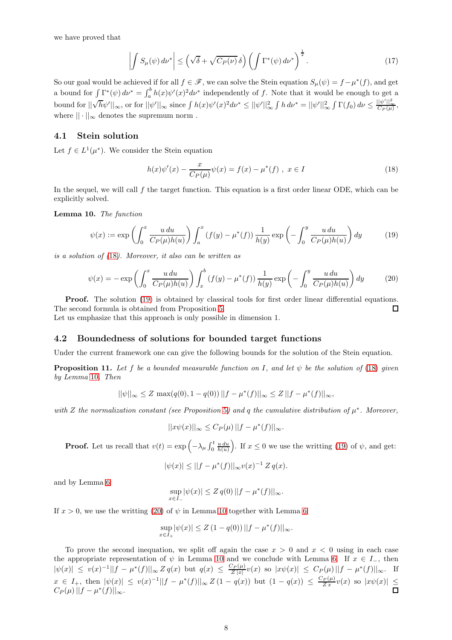we have proved that

<span id="page-7-6"></span>
$$
\left| \int S_{\mu}(\psi) d\nu^* \right| \le \left( \sqrt{\delta} + \sqrt{C_P(\nu)} \, \delta \right) \left( \int \Gamma^*(\psi) d\nu^* \right)^{\frac{1}{2}}.
$$
\n(17)

So our goal would be achieved if for all  $f \in \mathscr{F}$ , we can solve the Stein equation  $S_{\mu}(\psi) = f - \mu^*(f)$ , and get a bound for  $\int \Gamma^*(\psi) d\nu^* = \int_a^b h(x) \psi'(x)^2 d\nu^*$  independently of f. Note that it would be enough to get a bound for  $\|\sqrt{h}\psi'\|_{\infty}$ , or for  $\|\psi'\|_{\infty}$  since  $\int h(x)\psi'(x)^2 d\nu^* \leq \|\psi'\|_{\infty}^2 \int h d\nu^* = \|\psi'\|_{\infty}^2 \int \Gamma(f_0) d\nu \leq \frac{\|\psi'\|_{\infty}^2}{C_P(\mu)}$ , where  $|| \cdot ||_{\infty}$  denotes the supremum norm.

### <span id="page-7-0"></span>4.1 Stein solution

Let  $f \in L^1(\mu^*)$ . We consider the Stein equation

<span id="page-7-1"></span>
$$
h(x)\psi'(x) - \frac{x}{C_P(\mu)}\psi(x) = f(x) - \mu^*(f) , \ x \in I
$$
\n(18)

In the sequel, we will call f the target function. This equation is a first order linear ODE, which can be explicitly solved.

<span id="page-7-3"></span>Lemma 10. The function

<span id="page-7-2"></span>
$$
\psi(x) := \exp\left(\int_0^x \frac{u \, du}{C_P(\mu)h(u)}\right) \int_a^x \left(f(y) - \mu^*(f)\right) \frac{1}{h(y)} \exp\left(-\int_0^y \frac{u \, du}{C_P(\mu)h(u)}\right) dy\tag{19}
$$

is a solution of ([18](#page-7-1)). Moreover, it also can be written as

<span id="page-7-4"></span>
$$
\psi(x) = -\exp\left(\int_0^x \frac{u \, du}{C_P(\mu)h(u)}\right) \int_x^b \left(f(y) - \mu^*(f)\right) \frac{1}{h(y)} \exp\left(-\int_0^y \frac{u \, du}{C_P(\mu)h(u)}\right) dy\tag{20}
$$

**Proof.** The solution [\(19\)](#page-7-2) is obtained by classical tools for first order linear differential equations. The second formula is obtained from Proposition [5.](#page-4-0)  $\Box$ 

Let us emphasize that this approach is only possible in dimension 1.

### 4.2 Boundedness of solutions for bounded target functions

Under the current framework one can give the following bounds for the solution of the Stein equation.

<span id="page-7-5"></span>**Proposition 11.** Let f be a bounded measurable function on I, and let  $\psi$  be the solution of [\(18\)](#page-7-1) given by Lemma [10](#page-7-3). Then

$$
||\psi||_{\infty} \le Z \max(q(0), 1 - q(0)) ||f - \mu^{*}(f)||_{\infty} \le Z ||f - \mu^{*}(f)||_{\infty},
$$

with Z the normalization constant (see Proposition [5](#page-4-0)) and q the cumulative distribution of  $\mu^*$ . Moreover,

$$
||x\psi(x)||_{\infty} \leq C_P(\mu) ||f - \mu^*(f)||_{\infty}.
$$

**Proof.** Let us recall that  $v(t) = \exp\left(-\lambda_{\mu} \int_0^t \frac{u \, du}{h(u)}\right)$ . If  $x \le 0$  we use the writting [\(19\)](#page-7-2) of  $\psi$ , and get:

$$
|\psi(x)| \le ||f - \mu^*(f)||_{\infty} v(x)^{-1} Z q(x).
$$

and by Lemma [6:](#page-4-1)

$$
\sup_{x \in I_-} |\psi(x)| \le Z q(0) ||f - \mu^*(f)||_{\infty}.
$$

If  $x > 0$ , we use the writting [\(20\)](#page-7-4) of  $\psi$  in Lemma [10](#page-7-3) together with Lemma [6:](#page-4-1)

$$
\sup_{x \in I_+} |\psi(x)| \le Z (1 - q(0)) ||f - \mu^*(f)||_{\infty}.
$$

To prove the second inequation, we split off again the case  $x > 0$  and  $x < 0$  using in each case the appropriate representation of  $\psi$  in Lemma [10](#page-7-3) and we conclude with Lemma [6.](#page-4-1) If  $x \in I_-,$  then  $|\psi(x)| \leq v(x)^{-1} ||f - \mu^*(f)||_{\infty} Z q(x) \text{ but } q(x) \leq \frac{C_P(\mu)}{Z|x|}$  $\frac{\sum P(\mu)}{Z|x|}v(x)$  so  $|x\psi(x)| \leq C_P(\mu) ||f - \mu^*(f)||_{\infty}$ . If  $x \in I_+$ , then  $|\psi(x)| \leq v(x)^{-1} ||f - \mu^*(f)||_{\infty} Z(1 - q(x))$  but  $(1 - q(x)) \leq \frac{C_P(\mu)}{Zx} v(x)$  so  $|x\psi(x)| \leq$  $C_P(\mu) ||f - \mu^*(f)||_{\infty}.$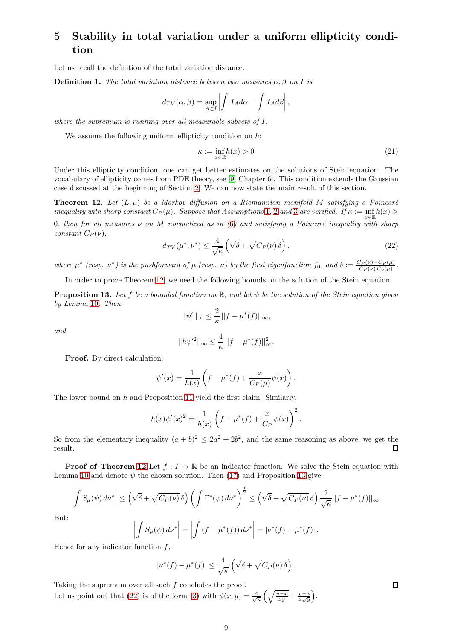# <span id="page-8-0"></span>5 Stability in total variation under a uniform ellipticity condition

Let us recall the definition of the total variation distance.

**Definition 1.** The total variation distance between two measures  $\alpha$ ,  $\beta$  on I is

$$
d_{TV}(\alpha, \beta) = \sup_{A \subset I} \left| \int \mathbf{1}_A d\alpha - \int \mathbf{1}_A d\beta \right|,
$$

where the supremum is running over all measurable subsets of I.

We assume the following uniform ellipticity condition on  $h$ :

$$
\kappa := \inf_{x \in \mathbb{R}} h(x) > 0 \tag{21}
$$

Under this ellipticity condition, one can get better estimates on the solutions of Stein equation. The vocabulary of ellipticity comes from PDE theory, see [\[9,](#page-17-14) Chapter 6]. This condition extends the Gaussian case discussed at the beginning of Section [2.](#page-2-0) We can now state the main result of this section.

<span id="page-8-1"></span>**Theorem 12.** Let  $(L, \mu)$  be a Markov diffusion on a Riemannian manifold M satisfying a Poincaré inequality with sharp constant  $C_P(\mu)$ . Suppose that Assumptions [1](#page-1-0), [2](#page-1-1) and [3](#page-1-2) are verified. If  $\kappa := \inf_{\pi \in \mathbb{R}} h(x) >$  $x \in \mathbb{R}$ 0, then for all measures  $\nu$  on M normalized as in ([6](#page-1-3)) and satisfying a Poincaré inequality with sharp constant  $C_P(\nu)$ ,

<span id="page-8-3"></span>
$$
d_{TV}(\mu^*, \nu^*) \le \frac{4}{\sqrt{\kappa}} \left( \sqrt{\delta} + \sqrt{C_P(\nu)} \, \delta \right),\tag{22}
$$

where  $\mu^*$  (resp.  $\nu^*$ ) is the pushforward of  $\mu$  (resp.  $\nu$ ) by the first eigenfunction  $f_0$ , and  $\delta := \frac{C_P(\nu) - C_P(\mu)}{C_P(\nu) C_p(\mu)}$ .

In order to prove Theorem [12,](#page-8-1) we need the following bounds on the solution of the Stein equation.

<span id="page-8-2"></span>**Proposition 13.** Let f be a bounded function on  $\mathbb{R}$ , and let  $\psi$  be the solution of the Stein equation given by Lemma [10](#page-7-3). Then  $\overline{2}$ 

$$
and
$$

$$
||\psi'||_{\infty} \leq \frac{2}{\kappa} ||f - \mu^*(f)||_{\infty},
$$

$$
||h\psi'^{2}||_{\infty} \leq \frac{4}{\kappa} \left| |f - \mu^{*}(f)| \right|_{\infty}^{2}.
$$

Proof. By direct calculation:

$$
\psi'(x) = \frac{1}{h(x)} \left( f - \mu^*(f) + \frac{x}{C_P(\mu)} \psi(x) \right).
$$

The lower bound on  $h$  and Proposition [11](#page-7-5) yield the first claim. Similarly,

$$
h(x)\psi'(x)^{2} = \frac{1}{h(x)}\left(f - \mu^{*}(f) + \frac{x}{C_{P}}\psi(x)\right)^{2}.
$$

So from the elementary inequality  $(a + b)^2 \leq 2a^2 + 2b^2$ , and the same reasoning as above, we get the result.  $\Box$ 

**Proof of Theorem [12](#page-8-1)** Let  $f: I \to \mathbb{R}$  be an indicator function. We solve the Stein equation with Lemma [10](#page-7-3) and denote  $\psi$  the chosen solution. Then [\(17\)](#page-7-6) and Proposition [13](#page-8-2) give:

$$
\left| \int S_{\mu}(\psi) d\nu^* \right| \leq \left( \sqrt{\delta} + \sqrt{C_P(\nu)} \, \delta \right) \left( \int \Gamma^*(\psi) d\nu^* \right)^{\frac{1}{2}} \leq \left( \sqrt{\delta} + \sqrt{C_P(\nu)} \, \delta \right) \frac{2}{\sqrt{\kappa}} ||f - \mu^*(f)||_{\infty}.
$$

But:

$$
\left| \int S_{\mu}(\psi) d\nu^* \right| = \left| \int \left( f - \mu^*(f) \right) d\nu^* \right| = |\nu^*(f) - \mu^*(f)|.
$$

Hence for any indicator function  $f$ ,

$$
|\nu^*(f) - \mu^*(f)| \le \frac{4}{\sqrt{\kappa}} \left( \sqrt{\delta} + \sqrt{C_P(\nu)} \,\delta \right).
$$

Taking the supremum over all such  $f$  concludes the proof. Let us point out that [\(22\)](#page-8-3) is of the form [\(3\)](#page-0-1) with  $\phi(x,y) = \frac{4}{\sqrt{\kappa}} \left( \sqrt{\frac{y-x}{xy}} + \frac{y-x}{x\sqrt{y}} \right)$ .  $\Box$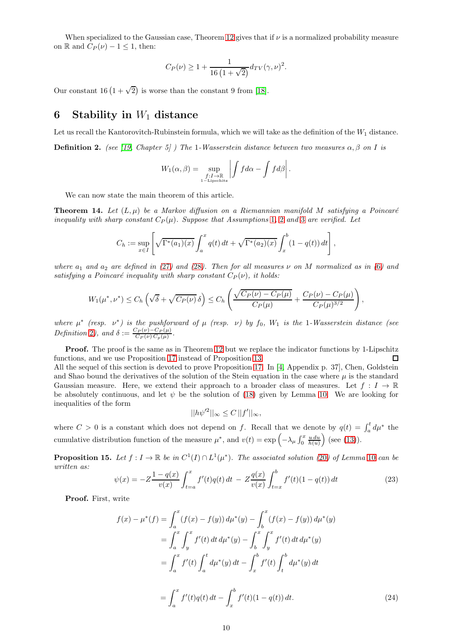When specialized to the Gaussian case, Theorem [12](#page-8-1) gives that if  $\nu$  is a normalized probability measure on R and  $C_P(\nu) - 1 \leq 1$ , then:

$$
C_P(\nu) \ge 1 + \frac{1}{16\left(1 + \sqrt{2}\right)} d_{TV}(\gamma, \nu)^2.
$$

Our constant 16  $(1 + \sqrt{2})$  is worse than the constant 9 from [\[18\]](#page-17-6).

# 6 Stability in  $W_1$  distance

<span id="page-9-0"></span>Let us recall the Kantorovitch-Rubinstein formula, which we will take as the definition of the  $W_1$  distance. **Definition 2.** (see [\[19,](#page-17-8) Chapter 5] ) The 1-Wasserstein distance between two measures  $\alpha$ ,  $\beta$  on I is

$$
W_1(\alpha, \beta) = \sup_{\substack{f: I \to \mathbb{R} \\ 1-\text{Lipschitz}}} \left| \int f d\alpha - \int f d\beta \right|.
$$

We can now state the main theorem of this article.

<span id="page-9-4"></span>**Theorem 14.** Let  $(L, \mu)$  be a Markov diffusion on a Riemannian manifold M satisfying a Poincaré inequality with sharp constant  $C_P(\mu)$ . Suppose that Assumptions [1](#page-1-0), [2](#page-1-1) and [3](#page-1-2) are verified. Let

$$
C_h := \sup_{x \in I} \left[ \sqrt{\Gamma^*(a_1)(x)} \int_a^x q(t) dt + \sqrt{\Gamma^*(a_2)(x)} \int_x^b (1 - q(t)) dt \right],
$$

where  $a_1$  and  $a_2$  are defined in ([27](#page-10-2)) and ([28](#page-10-3)). Then for all measures  $\nu$  on M normalized as in ([6](#page-1-3)) and satisfying a Poincaré inequality with sharp constant  $C_P(\nu)$ , it holds:

$$
W_1(\mu^*,\nu^*) \leq C_h \left(\sqrt{\delta} + \sqrt{C_P(\nu)} \,\delta\right) \leq C_h \left(\frac{\sqrt{C_P(\nu) - C_P(\mu)}}{C_P(\mu)} + \frac{C_P(\nu) - C_P(\mu)}{C_P(\mu)^{3/2}}\right),
$$

where  $\mu^*$  (resp.  $\nu^*$ ) is the pushforward of  $\mu$  (resp.  $\nu$ ) by  $f_0$ ,  $W_1$  is the 1-Wasserstein distance (see Definition [2](#page-9-0)), and  $\delta := \frac{C_P(\nu) - C_P(\mu)}{C_P(\nu) C_P(\mu)}$ .

**Proof.** The proof is the same as in Theorem [12](#page-8-1) but we replace the indicator functions by 1-Lipschitz functions, and we use Proposition [17](#page-10-0) instead of Proposition [13.](#page-8-2)  $\Box$ All the sequel of this section is devoted to prove Proposition [17.](#page-10-0) In [\[4,](#page-17-15) Appendix p. 37], Chen, Goldstein and Shao bound the derivatives of the solution of the Stein equation in the case where  $\mu$  is the standard Gaussian measure. Here, we extend their approach to a broader class of measures. Let  $f: I \to \mathbb{R}$ be absolutely continuous, and let  $\psi$  be the solution of [\(18\)](#page-7-1) given by Lemma [10.](#page-7-3) We are looking for inequalities of the form

<span id="page-9-3"></span>
$$
||h\psi'^2||_{\infty} \leq C||f'||_{\infty},
$$

where  $C > 0$  is a constant which does not depend on f. Recall that we denote by  $q(t) = \int_a^t d\mu^*$  the cumulative distribution function of the measure  $\mu^*$ , and  $v(t) = \exp\left(-\lambda_\mu \int_0^x \frac{u \, du}{h(u)}\right)$  (see [\(13\)](#page-4-2)).

<span id="page-9-2"></span>**Proposition 15.** Let  $f: I \to \mathbb{R}$  be in  $C^1(I) \cap L^1(\mu^*)$ . The associated solution ([20](#page-7-4)) of Lemma [10](#page-7-3) can be written as:

<span id="page-9-1"></span>
$$
\psi(x) = -Z \frac{1 - q(x)}{v(x)} \int_{t=a}^{x} f'(t)q(t) dt - Z \frac{q(x)}{v(x)} \int_{t=x}^{b} f'(t) (1 - q(t)) dt \tag{23}
$$

Proof. First, write

$$
f(x) - \mu^*(f) = \int_a^x (f(x) - f(y)) d\mu^*(y) - \int_b^x (f(x) - f(y)) d\mu^*(y)
$$
  
\n
$$
= \int_a^x \int_y^x f'(t) dt d\mu^*(y) - \int_b^x \int_y^x f'(t) dt d\mu^*(y)
$$
  
\n
$$
= \int_a^x f'(t) \int_a^t d\mu^*(y) dt - \int_x^b f'(t) \int_t^b d\mu^*(y) dt
$$
  
\n
$$
= \int_a^x f'(t) q(t) dt - \int_x^b f'(t) (1 - q(t)) dt.
$$
 (24)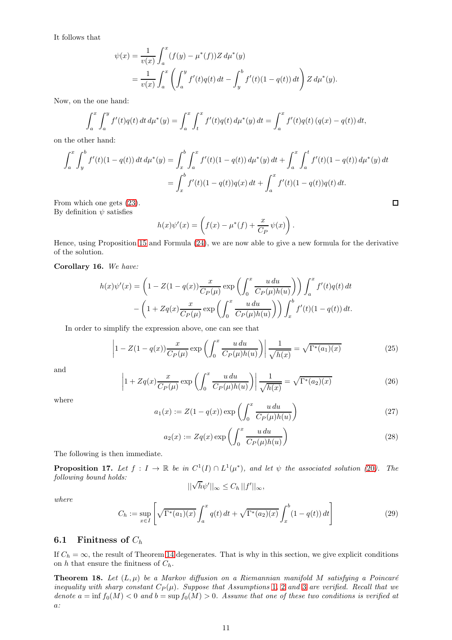It follows that

$$
\psi(x) = \frac{1}{v(x)} \int_a^x (f(y) - \mu^*(f)) Z d\mu^*(y)
$$
  
= 
$$
\frac{1}{v(x)} \int_a^x \left( \int_a^y f'(t) q(t) dt - \int_y^b f'(t) (1 - q(t)) dt \right) Z d\mu^*(y).
$$

Now, on the one hand:

$$
\int_{a}^{x} \int_{a}^{y} f'(t)q(t) dt d\mu^{*}(y) = \int_{a}^{x} \int_{t}^{x} f'(t)q(t) d\mu^{*}(y) dt = \int_{a}^{x} f'(t)q(t) (q(x) - q(t)) dt,
$$

on the other hand:

$$
\int_{a}^{x} \int_{y}^{b} f'(t)(1 - q(t)) dt d\mu^{*}(y) = \int_{x}^{b} \int_{a}^{x} f'(t)(1 - q(t)) d\mu^{*}(y) dt + \int_{a}^{x} \int_{a}^{t} f'(t)(1 - q(t)) d\mu^{*}(y) dt
$$

$$
= \int_{x}^{b} f'(t)(1 - q(t))q(x) dt + \int_{a}^{x} f'(t)(1 - q(t))q(t) dt.
$$

From which one gets [\(23\)](#page-9-1). By definition  $\psi$  satisfies

$$
h(x)\psi'(x) = \left(f(x) - \mu^*(f) + \frac{x}{C_P}\psi(x)\right).
$$

Hence, using Proposition [15](#page-9-2) and Formula [\(24\)](#page-9-3), we are now able to give a new formula for the derivative of the solution.

### Corollary 16. We have:

$$
h(x)\psi'(x) = \left(1 - Z(1 - q(x))\frac{x}{C_P(\mu)}\exp\left(\int_0^x \frac{u\,du}{C_P(\mu)h(u)}\right)\right)\int_a^x f'(t)q(t)\,dt
$$

$$
-\left(1 + Zq(x)\frac{x}{C_P(\mu)}\exp\left(\int_0^x \frac{u\,du}{C_P(\mu)h(u)}\right)\right)\int_x^b f'(t)(1 - q(t))\,dt.
$$

In order to simplify the expression above, one can see that

<span id="page-10-4"></span>
$$
\left|1 - Z(1 - q(x))\frac{x}{C_P(\mu)}\exp\left(\int_0^x \frac{u\,du}{C_P(\mu)h(u)}\right)\right|\frac{1}{\sqrt{h(x)}} = \sqrt{\Gamma^*(a_1)(x)}\tag{25}
$$

and

$$
\left|1 + Zq(x)\frac{x}{C_P(\mu)}\exp\left(\int_0^x \frac{u\,du}{C_P(\mu)h(u)}\right)\right|\frac{1}{\sqrt{h(x)}} = \sqrt{\Gamma^*(a_2)(x)}\tag{26}
$$

where

<span id="page-10-2"></span>
$$
a_1(x) := Z(1 - q(x)) \exp\left(\int_0^x \frac{u \, du}{C_P(\mu)h(u)}\right) \tag{27}
$$

 $\Box$ 

<span id="page-10-3"></span>
$$
a_2(x) := Zq(x) \exp\left(\int_0^x \frac{u \, du}{C_P(\mu)h(u)}\right) \tag{28}
$$

The following is then immediate.

<span id="page-10-0"></span>**Proposition 17.** Let  $f: I \to \mathbb{R}$  be in  $C^1(I) \cap L^1(\mu^*)$ , and let  $\psi$  the associated solution ([20](#page-7-4)). The following bound holds:

$$
||\sqrt{h}\psi'||_{\infty} \leq C_h \, ||f'||_{\infty},
$$

where

<span id="page-10-5"></span>
$$
C_h := \sup_{x \in I} \left[ \sqrt{\Gamma^*(a_1)(x)} \int_a^x q(t) dt + \sqrt{\Gamma^*(a_2)(x)} \int_x^b (1 - q(t)) dt \right]
$$
 (29)

### 6.1 Finitness of  $C_h$

If  $C_h = \infty$ , the result of Theorem [14](#page-9-4) degenerates. That is why in this section, we give explicit conditions on  $h$  that ensure the finitness of  $C_h$ .

<span id="page-10-1"></span>**Theorem 18.** Let  $(L, \mu)$  be a Markov diffusion on a Riemannian manifold M satisfying a Poincaré inequality with sharp constant  $C_P(\mu)$ . Suppose that Assumptions [1](#page-1-0), [2](#page-1-1) and [3](#page-1-2) are verified. Recall that we denote  $a = \inf f_0(M) < 0$  and  $b = \sup f_0(M) > 0$ . Assume that one of these two conditions is verified at a: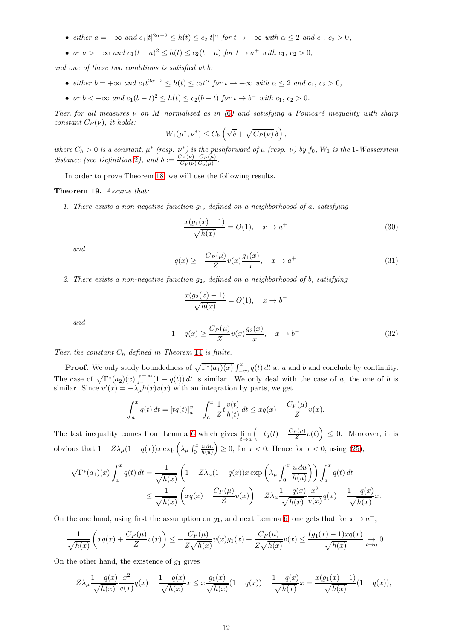- either  $a = -\infty$  and  $c_1 |t|^{2\alpha 2} \le h(t) \le c_2 |t|^\alpha$  for  $t \to -\infty$  with  $\alpha \le 2$  and  $c_1, c_2 > 0$ ,
- or  $a > -\infty$  and  $c_1(t-a)^2 \le h(t) \le c_2(t-a)$  for  $t \to a^+$  with  $c_1, c_2 > 0$ ,

and one of these two conditions is satisfied at b:

- either  $b = +\infty$  and  $c_1 t^{2\alpha 2} \leq h(t) \leq c_2 t^{\alpha}$  for  $t \to +\infty$  with  $\alpha \leq 2$  and  $c_1, c_2 > 0$ ,
- or  $b < +\infty$  and  $c_1(b-t)^2 \le h(t) \le c_2(b-t)$  for  $t \to b^-$  with  $c_1, c_2 > 0$ .

Then for all measures  $\nu$  on M normalized as in ([6](#page-1-3)) and satisfying a Poincaré inequality with sharp constant  $C_P(\nu)$ , it holds:

$$
W_1(\mu^*, \nu^*) \leq C_h \left( \sqrt{\delta} + \sqrt{C_P(\nu)} \,\delta \right),
$$

where  $C_h > 0$  is a constant,  $\mu^*$  (resp.  $\nu^*$ ) is the pushforward of  $\mu$  (resp.  $\nu$ ) by  $f_0$ ,  $W_1$  is the 1-Wasserstein distance (see Definition [2](#page-9-0)), and  $\delta := \frac{C_P(\nu) - C_P(\mu)}{C_P(\nu) C_P(\mu)}$ .

In order to prove Theorem [18,](#page-10-1) we will use the following results.

#### <span id="page-11-1"></span>Theorem 19. Assume that:

1. There exists a non-negative function  $q_1$ , defined on a neighborhoood of a, satisfying

<span id="page-11-3"></span>
$$
\frac{x(g_1(x) - 1)}{\sqrt{h(x)}} = O(1), \quad x \to a^+(1)
$$
\n(30)

and

<span id="page-11-2"></span>
$$
q(x) \ge -\frac{C_P(\mu)}{Z}v(x)\frac{g_1(x)}{x}, \quad x \to a^+(31)
$$

2. There exists a non-negative function  $g_2$ , defined on a neighborhoood of b, satisfying

$$
\frac{x(g_2(x) - 1)}{\sqrt{h(x)}} = O(1), \quad x \to b^-
$$

and

<span id="page-11-0"></span>
$$
1 - q(x) \ge \frac{C_P(\mu)}{Z} v(x) \frac{g_2(x)}{x}, \quad x \to b^-
$$
 (32)

Then the constant  $C_h$  defined in Theorem [14](#page-9-4) is finite.

**Proof.** We only study boundedness of  $\sqrt{\Gamma^*(a_1)(x)} \int_{-\infty}^x q(t) dt$  at a and b and conclude by continuity. The case of  $\sqrt{\Gamma^*(a_2)(x)} \int_x^{+\infty} (1-q(t)) dt$  is similar. We only deal with the case of a, the one of b is similar. Since  $v'(x) = -\lambda_\mu h(x)v(x)$  with an integration by parts, we get

$$
\int_{a}^{x} q(t) dt = [tq(t)]_{a}^{x} - \int_{a}^{x} \frac{1}{Z} t \frac{v(t)}{h(t)} dt \le xq(x) + \frac{C_P(\mu)}{Z} v(x).
$$

The last inequality comes from Lemma [6](#page-4-1) which gives  $\lim_{t\to a} \left(-tq(t) - \frac{C_P(\mu)}{Z}v(t)\right) \leq 0$ . Moreover, it is obvious that  $1 - Z\lambda_\mu (1 - q(x))x \exp\left(\lambda_\mu \int_0^x \frac{u \, du}{h(u)}\right) \ge 0$ , for  $x < 0$ . Hence for  $x < 0$ , using [\(25\)](#page-10-4),

$$
\sqrt{\Gamma^*(a_1)(x)} \int_a^x q(t) dt = \frac{1}{\sqrt{h(x)}} \left( 1 - Z\lambda_\mu (1 - q(x)) x \exp\left(\lambda_\mu \int_0^x \frac{u du}{h(u)}\right) \right) \int_a^x q(t) dt
$$
  

$$
\leq \frac{1}{\sqrt{h(x)}} \left( xq(x) + \frac{C_P(\mu)}{Z} v(x) \right) - Z\lambda_\mu \frac{1 - q(x)}{\sqrt{h(x)}} \frac{x^2}{v(x)} q(x) - \frac{1 - q(x)}{\sqrt{h(x)}} x.
$$

On the one hand, using first the assumption on  $g_1$ , and next Lemma [6,](#page-4-1) one gets that for  $x \to a^+$ ,

$$
\frac{1}{\sqrt{h(x)}}\left(xq(x)+\frac{C_P(\mu)}{Z}v(x)\right)\leq -\frac{C_P(\mu)}{Z\sqrt{h(x)}}v(x)g_1(x)+\frac{C_P(\mu)}{Z\sqrt{h(x)}}v(x)\leq \frac{(g_1(x)-1)xq(x)}{\sqrt{h(x)}}\underset{t\to a}{\to} 0.
$$

On the other hand, the existence of  $g_1$  gives

$$
- - Z\lambda_{\mu} \frac{1 - q(x)}{\sqrt{h(x)}} \frac{x^2}{v(x)} q(x) - \frac{1 - q(x)}{\sqrt{h(x)}} x \le x \frac{g_1(x)}{\sqrt{h(x)}} (1 - q(x)) - \frac{1 - q(x)}{\sqrt{h(x)}} x = \frac{x(g_1(x) - 1)}{\sqrt{h(x)}} (1 - q(x)),
$$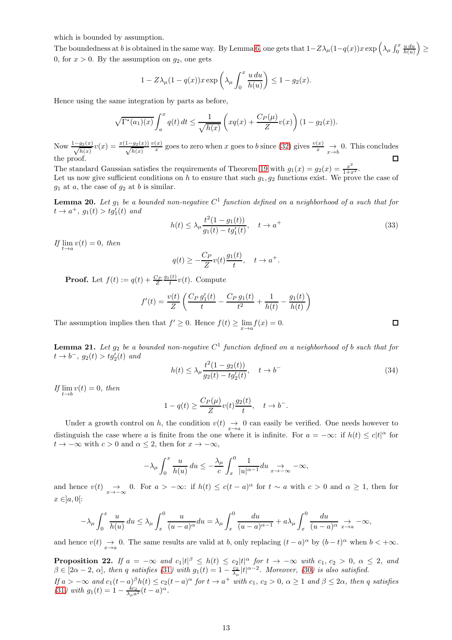which is bounded by assumption.

The boundedness at b is obtained in the same way. By Lemma [6,](#page-4-1) one gets that  $1-Z\lambda_\mu(1-q(x))x\exp\left(\lambda_\mu\int_0^x\frac{u\,du}{h(u)}\right)\geq$ 0, for  $x > 0$ . By the assumption on  $g_2$ , one gets

$$
1 - Z\lambda_{\mu}(1 - q(x))x \exp\left(\lambda_{\mu} \int_0^x \frac{u \, du}{h(u)}\right) \le 1 - g_2(x).
$$

Hence using the same integration by parts as before,

$$
\sqrt{\Gamma^*(a_1)(x)} \int_a^x q(t) dt \le \frac{1}{\sqrt{h(x)}} \left( xq(x) + \frac{C_P(\mu)}{Z} v(x) \right) (1 - g_2(x)).
$$

Now  $\frac{1-g_2(x)}{\sqrt{h(x)}}v(x) = \frac{x(1-g_2(x))}{\sqrt{h(x)}}$  $v(x)$  $\frac{f(x)}{x}$  goes to zero when x goes to b since [\(32\)](#page-11-0) gives  $\frac{v(x)}{x} \to 0$ . This concludes  $\Box$ the proof.

The standard Gaussian satisfies the requirements of Theorem [19](#page-11-1) with  $g_1(x) = g_2(x) = \frac{x^2}{1+x^2}$ . Let us now give sufficient conditions on h to ensure that such  $g_1, g_2$  functions exist. We prove the case of  $g_1$  at  $a$ , the case of  $g_2$  at  $b$  is similar.

<span id="page-12-0"></span>**Lemma 20.** Let  $g_1$  be a bounded non-negative  $C^1$  function defined on a neighborhood of a such that for  $t \to a^+$ ,  $g_1(t) > tg'_1(t)$  and

$$
h(t) \le \lambda_{\mu} \frac{t^2 (1 - g_1(t))}{g_1(t) - t g_1'(t)}, \quad t \to a^+ \tag{33}
$$

If  $\lim_{t\to a} v(t) = 0$ , then

$$
q(t) \ge -\frac{C_P}{Z}v(t)\frac{g_1(t)}{t}, \quad t \to a^+.
$$

**Proof.** Let  $f(t) := q(t) + \frac{C_P}{Z} \frac{g_1(t)}{t} v(t)$ . Compute

$$
f'(t) = \frac{v(t)}{Z} \left( \frac{C_P g_1'(t)}{t} - \frac{C_P g_1(t)}{t^2} + \frac{1}{h(t)} - \frac{g_1(t)}{h(t)} \right)
$$

The assumption implies then that  $f' \geq 0$ . Hence  $f(t) \geq \lim_{x \to a} f(x) = 0$ .

<span id="page-12-1"></span>**Lemma 21.** Let  $g_2$  be a bounded non-negative  $C^1$  function defined on a neighborhood of b such that for  $t \to b^{-}$ ,  $g_2(t) > tg'_2(t)$  and

$$
h(t) \le \lambda_{\mu} \frac{t^2 (1 - g_2(t))}{g_2(t) - t g_2'(t)}, \quad t \to b^-
$$
\n(34)

If  $\lim_{t\to b} v(t) = 0$ , then

$$
1 - q(t) \ge \frac{C_P(\mu)}{Z} v(t) \frac{g_2(t)}{t}, \quad t \to b^-.
$$

Under a growth control on h, the condition  $v(t) \to 0$  can easily be verified. One needs however to distinguish the case where a is finite from the one where it is infinite. For  $a = -\infty$ : if  $h(t) \leq c|t|^{\alpha}$  for  $t \to -\infty$  with  $c > 0$  and  $\alpha \leq 2$ , then for  $x \to -\infty$ ,

$$
-\lambda_{\mu} \int_0^x \frac{u}{h(u)} du \le -\frac{\lambda_{\mu}}{c} \int_x^0 \frac{1}{|u|^{\alpha-1}} du \underset{x \to -\infty}{\to} -\infty,
$$

and hence  $v(t) \to 0$ . For  $a > -\infty$ : if  $h(t) \leq c(t-a)^{\alpha}$  for  $t \sim a$  with  $c > 0$  and  $\alpha \geq 1$ , then for  $x \in ]a, 0[$ :

$$
-\lambda_{\mu} \int_0^x \frac{u}{h(u)} du \le \lambda_{\mu} \int_x^0 \frac{u}{(u-a)^{\alpha}} du = \lambda_{\mu} \int_x^0 \frac{du}{(u-a)^{\alpha-1}} + a \lambda_{\mu} \int_x^0 \frac{du}{(u-a)^{\alpha}} \xrightarrow[x \to a]{} -\infty,
$$

and hence  $v(t) \to 0$ . The same results are valid at b, only replacing  $(t-a)^\alpha$  by  $(b-t)^\alpha$  when  $b < +\infty$ .

**Proposition 22.** If  $a = -\infty$  and  $c_1 |t|^{\beta} \leq h(t) \leq c_2 |t|^{\alpha}$  for  $t \to -\infty$  with  $c_1, c_2 > 0, \alpha \leq 2$ , and  $\beta \in [2\alpha-2, \alpha]$ , then q satisfies ([31](#page-11-2)) with  $g_1(t) = 1 - \frac{c_2}{\lambda_\mu} |t|^{\alpha-2}$ . Moreover, ([30](#page-11-3)) is also satisfied.  $\textit{If } a > -\infty \textit{ and } c_1(t-a)^\beta h(t) \leq c_2(t-a)^\alpha \textit{ for } t \to a^+ \textit{ with } c_1, c_2 > 0, \alpha \geq 1 \textit{ and } \beta \leq 2\alpha, \textit{ then } q \textit{ satisfies }$ ([31](#page-11-2)) with  $g_1(t) = 1 - \frac{4c_2}{\lambda_{\mu}a^2}(t-a)^{\alpha}$ .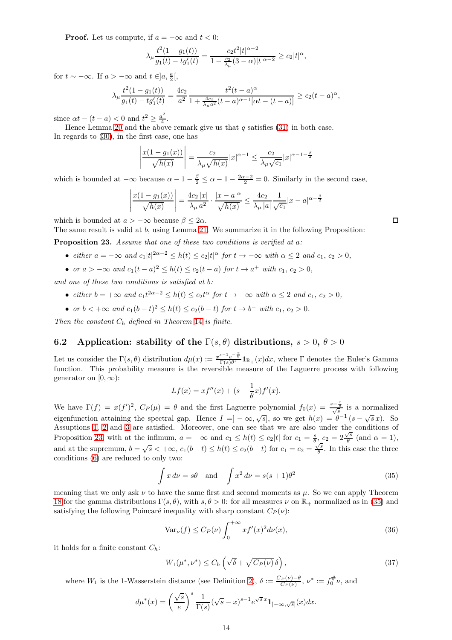**Proof.** Let us compute, if  $a = -\infty$  and  $t < 0$ :

$$
\lambda_\mu \frac{t^2(1-g_1(t))}{g_1(t)-tg_1'(t)}=\frac{c_2t^2|t|^{\alpha-2}}{1-\frac{c_2}{\lambda_\mu}(3-\alpha)|t|^{\alpha-2}}\geq c_2|t|^\alpha,
$$

for  $t \sim -\infty$ . If  $a > -\infty$  and  $t \in ]a, \frac{a}{2}[,$ 

$$
\lambda_{\mu} \frac{t^2(1-g_1(t))}{g_1(t)-tg'_1(t)} = \frac{4c_2}{a^2} \frac{t^2(t-a)^{\alpha}}{1+\frac{4c_2}{\lambda_{\mu}a^2}(t-a)^{\alpha-1}[\alpha t-(t-a)]} \ge c_2(t-a)^{\alpha},
$$

since  $\alpha t - (t - a) < 0$  and  $t^2 \ge \frac{a^2}{4}$  $rac{1}{4}$ .

Hence Lemma [20](#page-12-0) and the above remark give us that  $q$  satisfies [\(31\)](#page-11-2) in both case. In regards to [\(30\)](#page-11-3), in the first case, one has

$$
\left| \frac{x(1 - g_1(x))}{\sqrt{h(x)}} \right| = \frac{c_2}{\lambda_\mu \sqrt{h(x)}} |x|^{\alpha - 1} \le \frac{c_2}{\lambda_\mu \sqrt{c_1}} |x|^{\alpha - 1 - \frac{\beta}{2}}
$$

which is bounded at  $-\infty$  because  $\alpha - 1 - \frac{\beta}{2} \le \alpha - 1 - \frac{2\alpha - 2}{2} = 0$ . Similarly in the second case,

$$
\left| \frac{x(1 - g_1(x))}{\sqrt{h(x)}} \right| = \frac{4c_2 |x|}{\lambda_{\mu} a^2} \cdot \frac{|x - a|^{\alpha}}{\sqrt{h(x)}} \le \frac{4c_2}{\lambda_{\mu} |a|} \frac{1}{\sqrt{c_1}} |x - a|^{\alpha - \frac{\beta}{2}}
$$

which is bounded at  $a > -\infty$  because  $\beta < 2\alpha$ .

The same result is valid at b, using Lemma [21.](#page-12-1) We summarize it in the following Proposition:

<span id="page-13-1"></span>Proposition 23. Assume that one of these two conditions is verified at a:

- either  $a = -\infty$  and  $c_1 |t|^{2\alpha 2} \le h(t) \le c_2 |t|^\alpha$  for  $t \to -\infty$  with  $\alpha \le 2$  and  $c_1, c_2 > 0$ ,
- or  $a > -\infty$  and  $c_1(t-a)^2 \le h(t) \le c_2(t-a)$  for  $t \to a^+$  with  $c_1, c_2 > 0$ ,

and one of these two conditions is satisfied at b:

- either  $b = +\infty$  and  $c_1 t^{2\alpha 2} \leq h(t) \leq c_2 t^{\alpha}$  for  $t \to +\infty$  with  $\alpha \leq 2$  and  $c_1, c_2 > 0$ ,
- or  $b < +\infty$  and  $c_1(b-t)^2 \le h(t) \le c_2(b-t)$  for  $t \to b^-$  with  $c_1, c_2 > 0$ .

Then the constant  $C_h$  defined in Theorem [14](#page-9-4) is finite.

### <span id="page-13-0"></span>6.2 Application: stability of the  $\Gamma(s, \theta)$  distributions,  $s > 0$ ,  $\theta > 0$

Let us consider the  $\Gamma(s, \theta)$  distribution  $d\mu(x) := \frac{x^{s-1}e^{-\frac{x}{\theta}}}{\Gamma(s)\theta^s}\mathbf{1}_{\mathbb{R}_+}(x)dx$ , where  $\Gamma$  denotes the Euler's Gamma function. This probability measure is the reversible measure of the Laguerre process with following generator on  $[0, \infty)$ :

$$
Lf(x) = xf''(x) + (s - \frac{1}{\theta}x)f'(x).
$$

We have  $\Gamma(f) = x(f')^2$ ,  $C_P(\mu) = \theta$  and the first Laguerre polynomial  $f_0(x) = \frac{s-\frac{x}{\theta}}{\sqrt{s}}$  is a normalized eigenfunction attaining the spectral gap. Hence  $I = ] - \infty, \sqrt{s}]$ , so we get  $h(x) = e^{-\theta - 1} (s - \sqrt{s} x)$ . So Assuptions [1,](#page-1-0) [2](#page-1-1) and [3](#page-1-2) are satisfied. Moreover, one can see that we are also under the conditions of Proposition [23,](#page-13-1) with at the infimum,  $a = -\infty$  and  $c_1 \leq h(t) \leq c_2|t|$  for  $c_1 = \frac{s}{\theta}$ ,  $c_2 = 2\frac{\sqrt{s}}{\theta}$  $\frac{\sqrt{s}}{\theta}$  (and  $\alpha = 1$ ), and at the supremum,  $b = \sqrt{s} < +\infty$ ,  $c_1(b-t) \leq h(t) \leq c_2(b-t)$  for  $c_1 = c_2 = \frac{\sqrt{s}}{\theta}$  $\frac{1}{\theta}$ . In this case the three conditions [\(6\)](#page-1-3) are reduced to only two:

<span id="page-13-2"></span>
$$
\int x \, d\nu = s\theta \quad \text{and} \quad \int x^2 \, d\nu = s(s+1)\theta^2 \tag{35}
$$

meaning that we only ask  $\nu$  to have the same first and second moments as  $\mu$ . So we can apply Theorem [18](#page-10-1) for the gamma distributions  $\Gamma(s, \theta)$ , with  $s, \theta > 0$ : for all measures  $\nu$  on  $\mathbb{R}_+$  normalized as in [\(35\)](#page-13-2) and satisfying the following Poincaré inequality with sharp constant  $C_P(\nu)$ :

<span id="page-13-3"></span>
$$
\text{Var}_{\nu}(f) \le C_P(\nu) \int_0^{+\infty} x f'(x)^2 d\nu(x),\tag{36}
$$

it holds for a finite constant  $C_h$ :

$$
W_1(\mu^*, \nu^*) \le C_h \left( \sqrt{\delta} + \sqrt{C_P(\nu)} \, \delta \right),\tag{37}
$$

where  $W_1$  is the 1-Wasserstein distance (see Definition [2\)](#page-9-0),  $\delta := \frac{C_P(\nu) - \theta}{C_P(\nu)}$ ,  $\nu^* := f_0^{\#} \nu$ , and

$$
d\mu^*(x) = \left(\frac{\sqrt{s}}{e}\right)^s \frac{1}{\Gamma(s)} (\sqrt{s} - x)^{s-1} e^{\sqrt{s}x} \mathbf{1}_{]-\infty, \sqrt{s}]}(x) dx.
$$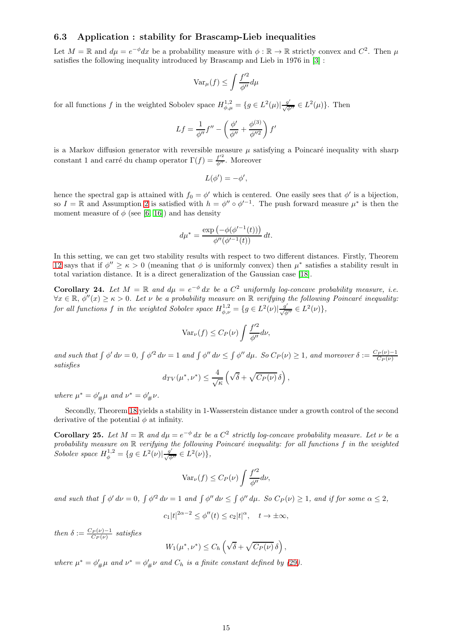### <span id="page-14-0"></span>6.3 Application : stability for Brascamp-Lieb inequalities

Let  $M = \mathbb{R}$  and  $d\mu = e^{-\phi}dx$  be a probability measure with  $\phi : \mathbb{R} \to \mathbb{R}$  strictly convex and  $C^2$ . Then  $\mu$ satisfies the following inequality introduced by Brascamp and Lieb in 1976 in [\[3\]](#page-17-16) :

$$
\text{Var}_{\mu}(f) \le \int \frac{f'^2}{\phi''} d\mu
$$

for all functions f in the weighted Sobolev space  $H_{\phi,\mu}^{1,2} = \{g \in L^2(\mu) | \frac{g'}{\sqrt{\phi''}} \in L^2(\mu)\}.$  Then

$$
Lf = \frac{1}{\phi''} f'' - \left(\frac{\phi'}{\phi''} + \frac{\phi^{(3)}}{\phi''^2}\right) f'
$$

is a Markov diffusion generator with reversible measure  $\mu$  satisfying a Poincaré inequality with sharp constant 1 and carré du champ operator  $\Gamma(f) = \frac{f'^2}{\phi''}$ . Moreover

$$
L(\phi')=-\phi',
$$

hence the spectral gap is attained with  $f_0 = \phi'$  which is centered. One easily sees that  $\phi'$  is a bijection, so  $I = \mathbb{R}$  and Assumption [2](#page-1-1) is satisfied with  $h = \phi'' \circ \phi'^{-1}$ . The push forward measure  $\mu^*$  is then the moment measure of  $\phi$  (see [\[6,](#page-17-17) [16\]](#page-17-18)) and has density

$$
d\mu^* = \frac{\exp(-\phi(\phi'^{-1}(t)))}{\phi''(\phi'^{-1}(t))} dt.
$$

In this setting, we can get two stability results with respect to two different distances. Firstly, Theorem [12](#page-8-1) says that if  $\phi'' \ge \kappa > 0$  (meaning that  $\phi$  is uniformly convex) then  $\mu^*$  satisfies a stability result in total variation distance. It is a direct generalization of the Gaussian case [\[18\]](#page-17-6).

**Corollary 24.** Let  $M = \mathbb{R}$  and  $d\mu = e^{-\phi} dx$  be a  $C^2$  uniformly log-concave probability measure, i.e.  $\forall x \in \mathbb{R}, \phi''(x) \geq \kappa > 0$ . Let  $\nu$  be a probability measure on  $\mathbb{R}$  verifying the following Poincaré inequality: for all functions f in the weighted Sobolev space  $H_{\phi,\nu}^{1,2} = \{g \in L^2(\nu) | \frac{g'}{\sqrt{\phi}}\}$  $\frac{g'}{\sqrt{\phi''}} \in L^2(\nu) \},\,$ 

$$
\text{Var}_{\nu}(f) \le C_P(\nu) \int \frac{f'^2}{\phi''} d\nu,
$$

and such that  $\int \phi' d\nu = 0$ ,  $\int \phi'^2 d\nu = 1$  and  $\int \phi'' d\nu \le \int \phi'' d\mu$ . So  $C_P(\nu) \ge 1$ , and moreover  $\delta := \frac{C_P(\nu) - 1}{C_P(\nu)}$ satisfies

$$
d_{TV}(\mu^*, \nu^*) \leq \frac{4}{\sqrt{\kappa}} \left( \sqrt{\delta} + \sqrt{C_P(\nu)} \,\delta \right),
$$

where  $\mu^* = \phi'_{\#} \mu$  and  $\nu^* = \phi'_{\#} \nu$ .

Secondly, Theorem [18](#page-10-1) yields a stability in 1-Wasserstein distance under a growth control of the second derivative of the potential  $\phi$  at infinity.

**Corollary 25.** Let  $M = \mathbb{R}$  and  $d\mu = e^{-\phi} dx$  be a  $C^2$  strictly log-concave probability measure. Let  $\nu$  be a probability measure on  $\mathbb R$  verifying the following Poincaré inequality: for all functions  $f$  in the weighted Sobolev space  $H_{\phi}^{1,2} = \{g \in L^2(\nu) | \frac{g'}{\sqrt{\phi}}\}$  $\frac{g'}{\sqrt{\phi''}} \in L^2(\nu) \},\,$ 

$$
\text{Var}_{\nu}(f) \le C_P(\nu) \int \frac{f'^2}{\phi''} d\nu,
$$

and such that  $\int \phi' d\nu = 0$ ,  $\int \phi'^2 d\nu = 1$  and  $\int \phi'' d\nu \le \int \phi'' d\mu$ . So  $C_P(\nu) \ge 1$ , and if for some  $\alpha \le 2$ ,

$$
c_1|t|^{2\alpha-2} \le \phi''(t) \le c_2|t|^\alpha, \quad t \to \pm \infty,
$$

then  $\delta := \frac{C_P(\nu) - 1}{C_P(\nu)}$  satisfies

$$
W_1(\mu^*, \nu^*) \leq C_h \left( \sqrt{\delta} + \sqrt{C_P(\nu)} \,\delta \right),
$$

where  $\mu^* = \phi'_{\#}\mu$  and  $\nu^* = \phi'_{\#}\nu$  and  $C_h$  is a finite constant defined by ([29](#page-10-5)).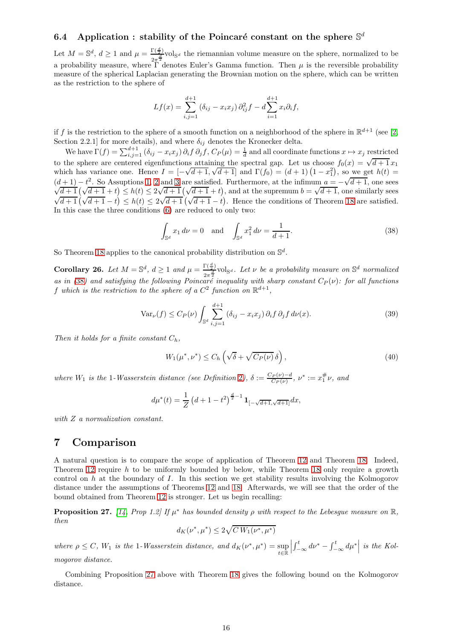# 6.4 Application : stability of the Poincaré constant on the sphere  $\mathbb{S}^d$

Let  $M = \mathbb{S}^d$ ,  $d \geq 1$  and  $\mu = \frac{\Gamma(\frac{d}{2})}{2\pi^{\frac{d}{2}}}$  $\frac{2\pi\frac{d}{dz}}{2\pi^2}$ vol<sub>Sd</sub> the riemannian volume measure on the sphere, normalized to be a probability measure, where  $\Gamma$  denotes Euler's Gamma function. Then  $\mu$  is the reversible probability measure of the spherical Laplacian generating the Brownian motion on the sphere, which can be written as the restriction to the sphere of

$$
Lf(x) = \sum_{i,j=1}^{d+1} (\delta_{ij} - x_i x_j) \partial_{ij}^2 f - d \sum_{i=1}^{d+1} x_i \partial_i f,
$$

if f is the restriction to the sphere of a smooth function on a neighborhood of the sphere in  $\mathbb{R}^{d+1}$  (see [\[2,](#page-17-4) Section 2.2.1] for more details), and where  $\delta_{ij}$  denotes the Kronecker delta.

We have  $\Gamma(f) = \sum_{i,j=1}^{d+1} (\delta_{ij} - x_i x_j) \partial_i f \partial_j f$ ,  $C_P(\mu) = \frac{1}{d}$  and all coordinate functions  $x \mapsto x_j$  restricted to the sphere are centered eigenfunctions attaining the spectral gap. Let us choose  $f_0(x) = \sqrt{d+1} x_1$ which has variance one. Hence  $I = [-\sqrt{d+1}, \sqrt{d+1}]$  and  $\Gamma(f_0) = (d+1)(1-x_1^2)$ , so we get  $h(t) =$  $(d+1) - t^2$ . So Assuptions [1,](#page-1-0) [2](#page-1-1) and [3](#page-1-2) are satisfied. Furthermore, at the infimum  $a = -\sqrt{d+1}$ , one sees  $\sqrt{\frac{d+1}{d+1}}(\sqrt{\frac{d+1}{d+1}}+t) \leq h(t) \leq 2\sqrt{\frac{d+1}{d+1}}(\sqrt{\frac{d+1}{d+1}}+t)$ , and at the supremum  $b = \sqrt{\frac{d+1}{d+1}}$ , one similarly sees  $\sqrt{d+1}(\sqrt{d+1}-t) \leq h(t) \leq 2\sqrt{d+1}(\sqrt{d+1}-t)$ . Hence the conditions of Theorem [18](#page-10-1) are satisfied. In this case the three conditions [\(6\)](#page-1-3) are reduced to only two:

<span id="page-15-1"></span>
$$
\int_{\mathbb{S}^d} x_1 \, d\nu = 0 \quad \text{and} \quad \int_{\mathbb{S}^d} x_1^2 \, d\nu = \frac{1}{d+1}.\tag{38}
$$

So Theorem [18](#page-10-1) applies to the canonical probability distribution on  $\mathbb{S}^d$ .

Corollary 26. Let  $M = \mathbb{S}^d$ ,  $d \geq 1$  and  $\mu = \frac{\Gamma(\frac{d}{2})}{2\pi^{\frac{d}{2}}}$  $\frac{\Gamma(\frac{a}{2})}{2\pi^{\frac{d}{2}}}$ vol<sub>Sd</sub>. Let v be a probability measure on S<sup>d</sup> normalized as in ([38](#page-15-1)) and satisfying the following Poincaré inequality with sharp constant  $C_P(\nu)$ : for all functions f which is the restriction to the sphere of a  $C^2$  function on  $\mathbb{R}^{d+1}$ ,

$$
\text{Var}_{\nu}(f) \le C_P(\nu) \int_{\mathbb{S}^d} \sum_{i,j=1}^{d+1} \left( \delta_{ij} - x_i x_j \right) \partial_i f \, \partial_j f \, d\nu(x). \tag{39}
$$

Then it holds for a finite constant  $C_h$ ,

$$
W_1(\mu^*, \nu^*) \le C_h \left( \sqrt{\delta} + \sqrt{C_P(\nu)} \, \delta \right),\tag{40}
$$

where  $W_1$  is the 1-Wasserstein distance (see Definition [2](#page-9-0)),  $\delta := \frac{C_P(\nu) - d}{C_P(\nu)}$ ,  $\nu^* := x_1^{\#} \nu$ , and

$$
d\mu^*(t) = \frac{1}{Z} \left( d + 1 - t^2 \right)^{\frac{d}{2}-1} \mathbf{1}_{\left[ -\sqrt{d+1}, \sqrt{d+1} \right]} dx,
$$

<span id="page-15-0"></span>with  $Z$  a normalization constant.

# 7 Comparison

A natural question is to compare the scope of application of Theorem [12](#page-8-1) and Theorem [18.](#page-10-1) Indeed, Theorem [12](#page-8-1) require  $h$  to be uniformly bounded by below, while Theorem [18](#page-10-1) only require a growth control on  $h$  at the boundary of  $I$ . In this section we get stability results involving the Kolmogorov distance under the assumptions of Theorems [12](#page-8-1) and [18.](#page-10-1) Afterwards, we will see that the order of the bound obtained from Theorem [12](#page-8-1) is stronger. Let us begin recalling:

<span id="page-15-2"></span>**Proposition 27.** [\[14,](#page-17-11) Prop 1.2] If  $\mu^*$  has bounded density  $\rho$  with respect to the Lebesgue measure on  $\mathbb{R}$ , then

$$
d_K(\nu^*, \mu^*) \le 2\sqrt{C W_1(\nu^*, \mu^*)}
$$

where  $\rho \leq C$ ,  $W_1$  is the 1-Wasserstein distance, and  $d_K(\nu^*, \mu^*) = \sup_{\lambda \in \mathbb{R}^n}$  $t\in\mathbb{\bar{R}}$  $\begin{array}{c} \begin{array}{c} \begin{array}{c} \end{array} \\ \begin{array}{c} \end{array} \end{array} \end{array}$  $\int_{-\infty}^{t} d\nu^* - \int_{-\infty}^{t} d\mu^* \Big|$  is the Kolmogorov distance.

Combining Proposition [27](#page-15-2) above with Theorem [18](#page-10-1) gives the following bound on the Kolmogorov distance.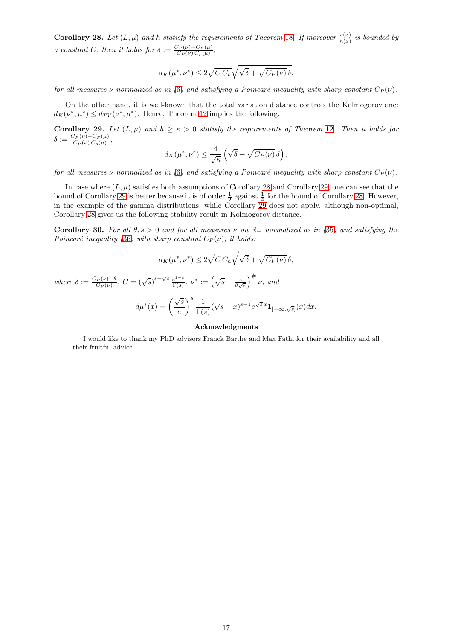<span id="page-16-0"></span>**Corollary 28.** Let  $(L, \mu)$  and h statisfy the requirements of Theorem [18](#page-10-1). If moreover  $\frac{v(x)}{h(x)}$  is bounded by a constant C, then it holds for  $\delta := \frac{C_P(\nu) - C_P(\mu)}{C_P(\nu) C_P(\mu)},$ 

$$
d_K(\mu^*, \nu^*) \le 2\sqrt{C\,C_h}\sqrt{\sqrt{\delta} + \sqrt{C_P(\nu)}\,\delta},
$$

for all measures  $\nu$  normalized as in ([6](#page-1-3)) and satisfying a Poincaré inequality with sharp constant  $C_P(\nu)$ .

On the other hand, it is well-known that the total variation distance controls the Kolmogorov one:  $d_K(\nu^*, \mu^*) \le d_{TV}(\nu^*, \mu^*)$ . Hence, Theorem [12](#page-8-1) implies the following.

<span id="page-16-1"></span>Corollary 29. Let  $(L, \mu)$  and  $h \ge \kappa > 0$  statisfy the requirements of Theorem [12](#page-8-1). Then it holds for  $\delta:=\frac{C_P(\nu)-C_P(\mu)}{C_P(\nu)\,C_p(\mu)},$ 

$$
d_K(\mu^*, \nu^*) \leq \frac{4}{\sqrt{\kappa}} \left( \sqrt{\delta} + \sqrt{C_P(\nu)} \,\delta \right),
$$

for all measures v normalized as in ([6](#page-1-3)) and satisfying a Poincaré inequality with sharp constant  $C_P(\nu)$ .

In case where  $(L, \mu)$  satisfies both assumptions of Corollary [28](#page-16-0) and Corollary [29,](#page-16-1) one can see that the bound of Corollary [29](#page-16-1) is better because it is of order  $\frac{1}{2}$  against  $\frac{1}{4}$  for the bound of Corollary [28.](#page-16-0) However, in the example of the gamma distributions, while Corollary  $29$  does not apply, although non-optimal, Corollary [28](#page-16-0) gives us the following stability result in Kolmogorov distance.

Corollary 30. For all  $\theta, s > 0$  and for all measures v on  $\mathbb{R}_+$  normalized as in ([35](#page-13-2)) and satisfying the Poincaré inequality ([36](#page-13-3)) with sharp constant  $C_P(\nu)$ , it holds:

$$
d_K(\mu^*, \nu^*) \le 2\sqrt{C C_h} \sqrt{\sqrt{\delta} + \sqrt{C_P(\nu)}} \delta,
$$
  
where  $\delta := \frac{C_P(\nu) - \theta}{C_P(\nu)}$ ,  $C = (\sqrt{s})^{s + \sqrt{s}} \frac{e^{1-s}}{\Gamma(s)}$ ,  $\nu^* := (\sqrt{s} - \frac{x}{\theta \sqrt{s}})^{\#} \nu$ , and  

$$
d\mu^*(x) = \left(\frac{\sqrt{s}}{e}\right)^s \frac{1}{\Gamma(s)} (\sqrt{s} - x)^{s-1} e^{\sqrt{s}x} \mathbf{1}_{]-\infty, \sqrt{s}}(x) dx.
$$

#### Acknowledgments

I would like to thank my PhD advisors Franck Barthe and Max Fathi for their availability and all their fruitful advice.